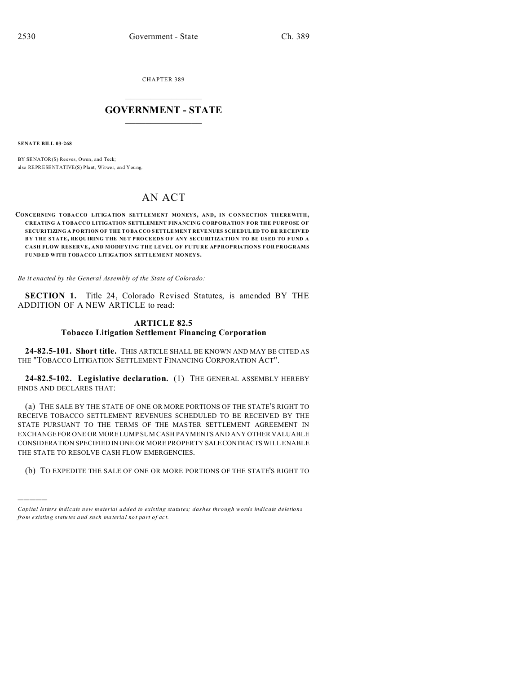CHAPTER 389  $\overline{\phantom{a}}$  , where  $\overline{\phantom{a}}$ 

## **GOVERNMENT - STATE**  $\_$   $\_$

**SENATE BILL 03-268**

)))))

BY SENATOR(S) Reeves, Owen, and Teck; also REPRESENTATIVE(S) Plant, Witwer, and You ng.

# AN ACT

**CONCERNING TOBACCO LITIGATION SETTLEMENT MONEYS, AND, IN CONNECTION TH EREWITH, CREATING A TOBACCO LITIGATION SETTLEMENT FINANCING CORPORATION FOR THE PURPOSE OF SECURITIZING A PO RTION OF THE TO BA CCO SETTLEMEN T REVE NUES SCHEDULED TO BE RECEIVED B Y THE STATE, REQU IRING THE NET PRO CEED S O F ANY SE CURITIZATION TO BE USED TO F UND A CASH FLOW RESERVE, AND MODIFYING THE LEVEL OF FUTURE APPROPRIATIONS FOR PROGRAMS FUNDED WITH TOBACCO LITIGATION SETTLEMENT MONEYS.**

*Be it enacted by the General Assembly of the State of Colorado:*

**SECTION 1.** Title 24, Colorado Revised Statutes, is amended BY THE ADDITION OF A NEW ARTICLE to read:

## **ARTICLE 82.5 Tobacco Litigation Settlement Financing Corporation**

**24-82.5-101. Short title.** THIS ARTICLE SHALL BE KNOWN AND MAY BE CITED AS THE "TOBACCO LITIGATION SETTLEMENT FINANCING CORPORATION ACT".

**24-82.5-102. Legislative declaration.** (1) THE GENERAL ASSEMBLY HEREBY FINDS AND DECLARES THAT:

(a) THE SALE BY THE STATE OF ONE OR MORE PORTIONS OF THE STATE'S RIGHT TO RECEIVE TOBACCO SETTLEMENT REVENUES SCHEDULED TO BE RECEIVED BY THE STATE PURSUANT TO THE TERMS OF THE MASTER SETTLEMENT AGREEMENT IN EXCHANGE FOR ONE OR MORE LUMP SUM CASH PAYMENTS AND ANY OTHER VALUABLE CONSIDERATION SPECIFIED IN ONE OR MORE PROPERTY SALECONTRACTSWILL ENABLE THE STATE TO RESOLVE CASH FLOW EMERGENCIES.

(b) TO EXPEDITE THE SALE OF ONE OR MORE PORTIONS OF THE STATE'S RIGHT TO

*Capital letters indicate new material added to existing statutes; dashes through words indicate deletions from e xistin g statu tes a nd such ma teria l no t pa rt of ac t.*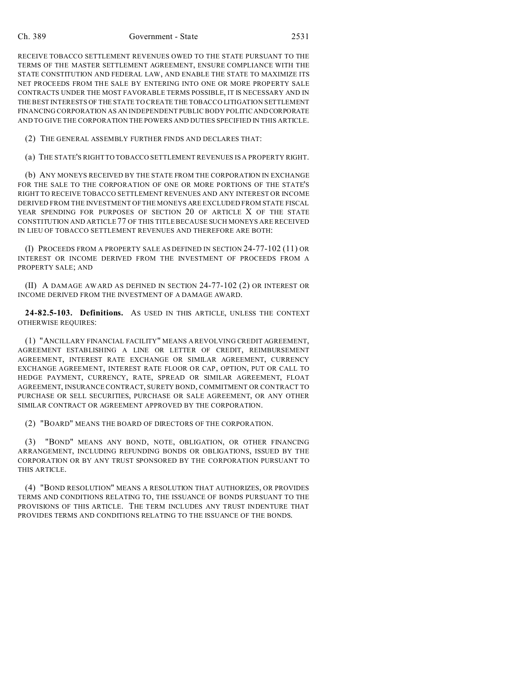#### Ch. 389 Government - State 2531

RECEIVE TOBACCO SETTLEMENT REVENUES OWED TO THE STATE PURSUANT TO THE TERMS OF THE MASTER SETTLEMENT AGREEMENT, ENSURE COMPLIANCE WITH THE STATE CONSTITUTION AND FEDERAL LAW, AND ENABLE THE STATE TO MAXIMIZE ITS NET PROCEEDS FROM THE SALE BY ENTERING INTO ONE OR MORE PROPERTY SALE CONTRACTS UNDER THE MOST FAVORABLE TERMS POSSIBLE, IT IS NECESSARY AND IN THE BEST INTERESTS OF THE STATE TO CREATE THE TOBACCO LITIGATION SETTLEMENT FINANCING CORPORATION AS AN INDEPENDENT PUBLIC BODY POLITIC ANDCORPORATE AND TO GIVE THE CORPORATION THE POWERS AND DUTIES SPECIFIED IN THIS ARTICLE.

(2) THE GENERAL ASSEMBLY FURTHER FINDS AND DECLARES THAT:

(a) THE STATE'S RIGHT TO TOBACCO SETTLEMENT REVENUES IS A PROPERTY RIGHT.

(b) ANY MONEYS RECEIVED BY THE STATE FROM THE CORPORATION IN EXCHANGE FOR THE SALE TO THE CORPORATION OF ONE OR MORE PORTIONS OF THE STATE'S RIGHT TO RECEIVE TOBACCO SETTLEMENT REVENUES AND ANY INTEREST OR INCOME DERIVED FROM THE INVESTMENT OF THE MONEYS ARE EXCLUDED FROM STATE FISCAL YEAR SPENDING FOR PURPOSES OF SECTION 20 OF ARTICLE X OF THE STATE CONSTITUTION AND ARTICLE 77 OF THIS TITLE BECAUSE SUCH MONEYS ARE RECEIVED IN LIEU OF TOBACCO SETTLEMENT REVENUES AND THEREFORE ARE BOTH:

(I) PROCEEDS FROM A PROPERTY SALE AS DEFINED IN SECTION 24-77-102 (11) OR INTEREST OR INCOME DERIVED FROM THE INVESTMENT OF PROCEEDS FROM A PROPERTY SALE; AND

(II) A DAMAGE AWARD AS DEFINED IN SECTION 24-77-102 (2) OR INTEREST OR INCOME DERIVED FROM THE INVESTMENT OF A DAMAGE AWARD.

**24-82.5-103. Definitions.** AS USED IN THIS ARTICLE, UNLESS THE CONTEXT OTHERWISE REQUIRES:

(1) "ANCILLARY FINANCIAL FACILITY" MEANS A REVOLVING CREDIT AGREEMENT, AGREEMENT ESTABLISHING A LINE OR LETTER OF CREDIT, REIMBURSEMENT AGREEMENT, INTEREST RATE EXCHANGE OR SIMILAR AGREEMENT, CURRENCY EXCHANGE AGREEMENT, INTEREST RATE FLOOR OR CAP, OPTION, PUT OR CALL TO HEDGE PAYMENT, CURRENCY, RATE, SPREAD OR SIMILAR AGREEMENT, FLOAT AGREEMENT, INSURANCE CONTRACT, SURETY BOND, COMMITMENT OR CONTRACT TO PURCHASE OR SELL SECURITIES, PURCHASE OR SALE AGREEMENT, OR ANY OTHER SIMILAR CONTRACT OR AGREEMENT APPROVED BY THE CORPORATION.

(2) "BOARD" MEANS THE BOARD OF DIRECTORS OF THE CORPORATION.

(3) "BOND" MEANS ANY BOND, NOTE, OBLIGATION, OR OTHER FINANCING ARRANGEMENT, INCLUDING REFUNDING BONDS OR OBLIGATIONS, ISSUED BY THE CORPORATION OR BY ANY TRUST SPONSORED BY THE CORPORATION PURSUANT TO THIS ARTICLE.

(4) "BOND RESOLUTION" MEANS A RESOLUTION THAT AUTHORIZES, OR PROVIDES TERMS AND CONDITIONS RELATING TO, THE ISSUANCE OF BONDS PURSUANT TO THE PROVISIONS OF THIS ARTICLE. THE TERM INCLUDES ANY TRUST INDENTURE THAT PROVIDES TERMS AND CONDITIONS RELATING TO THE ISSUANCE OF THE BONDS.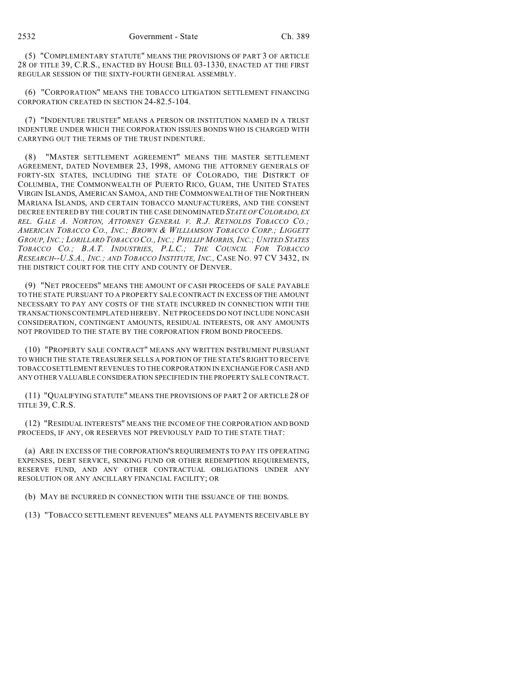(5) "COMPLEMENTARY STATUTE" MEANS THE PROVISIONS OF PART 3 OF ARTICLE 28 OF TITLE 39, C.R.S., ENACTED BY HOUSE BILL 03-1330, ENACTED AT THE FIRST REGULAR SESSION OF THE SIXTY-FOURTH GENERAL ASSEMBLY.

(6) "CORPORATION" MEANS THE TOBACCO LITIGATION SETTLEMENT FINANCING CORPORATION CREATED IN SECTION 24-82.5-104.

(7) "INDENTURE TRUSTEE" MEANS A PERSON OR INSTITUTION NAMED IN A TRUST INDENTURE UNDER WHICH THE CORPORATION ISSUES BONDS WHO IS CHARGED WITH CARRYING OUT THE TERMS OF THE TRUST INDENTURE.

(8) "MASTER SETTLEMENT AGREEMENT" MEANS THE MASTER SETTLEMENT AGREEMENT, DATED NOVEMBER 23, 1998, AMONG THE ATTORNEY GENERALS OF FORTY-SIX STATES, INCLUDING THE STATE OF COLORADO, THE DISTRICT OF COLUMBIA, THE COMMONWEALTH OF PUERTO RICO, GUAM, THE UNITED STATES VIRGIN ISLANDS, AMERICAN SAMOA, AND THE COMMONWEALTH OF THE NORTHERN MARIANA ISLANDS, AND CERTAIN TOBACCO MANUFACTURERS, AND THE CONSENT DECREE ENTERED BY THE COURT IN THE CASE DENOMINATED *STATE OF COLORADO, EX REL. GALE A. NORTON, ATTORNEY GENERAL V. R.J. REYNOLDS TOBACCO CO.; AMERICAN TOBACCO CO., INC.; BROWN & WILLIAMSON TOBACCO CORP.; LIGGETT* GROUP, INC.; LORILLARD TOBACCO CO., INC.; PHILLIP MORRIS, INC.; UNITED STATES *TOBACCO CO.; B.A.T. INDUSTRIES, P.L.C.; THE COUNCIL FOR TOBACCO RESEARCH--U.S.A., INC.; AND TOBACCO INSTITUTE, INC.,* CASE NO. 97 CV 3432, IN THE DISTRICT COURT FOR THE CITY AND COUNTY OF DENVER.

(9) "NET PROCEEDS" MEANS THE AMOUNT OF CASH PROCEEDS OF SALE PAYABLE TO THE STATE PURSUANT TO A PROPERTY SALE CONTRACT IN EXCESS OF THE AMOUNT NECESSARY TO PAY ANY COSTS OF THE STATE INCURRED IN CONNECTION WITH THE TRANSACTIONS CONTEMPLATED HEREBY. NET PROCEEDS DO NOT INCLUDE NONCASH CONSIDERATION, CONTINGENT AMOUNTS, RESIDUAL INTERESTS, OR ANY AMOUNTS NOT PROVIDED TO THE STATE BY THE CORPORATION FROM BOND PROCEEDS.

(10) "PROPERTY SALE CONTRACT" MEANS ANY WRITTEN INSTRUMENT PURSUANT TO WHICH THE STATE TREASURER SELLS A PORTION OF THE STATE'S RIGHT TO RECEIVE TOBACCO SETTLEMENT REVENUES TO THE CORPORATION IN EXCHANGEFOR CASH AND ANY OTHER VALUABLE CONSIDERATION SPECIFIED IN THE PROPERTY SALE CONTRACT.

(11) "QUALIFYING STATUTE" MEANS THE PROVISIONS OF PART 2 OF ARTICLE 28 OF TITLE 39, C.R.S.

(12) "RESIDUAL INTERESTS" MEANS THE INCOME OF THE CORPORATION AND BOND PROCEEDS, IF ANY, OR RESERVES NOT PREVIOUSLY PAID TO THE STATE THAT:

(a) ARE IN EXCESS OF THE CORPORATION'S REQUIREMENTS TO PAY ITS OPERATING EXPENSES, DEBT SERVICE, SINKING FUND OR OTHER REDEMPTION REQUIREMENTS, RESERVE FUND, AND ANY OTHER CONTRACTUAL OBLIGATIONS UNDER ANY RESOLUTION OR ANY ANCILLARY FINANCIAL FACILITY; OR

(b) MAY BE INCURRED IN CONNECTION WITH THE ISSUANCE OF THE BONDS.

(13) "TOBACCO SETTLEMENT REVENUES" MEANS ALL PAYMENTS RECEIVABLE BY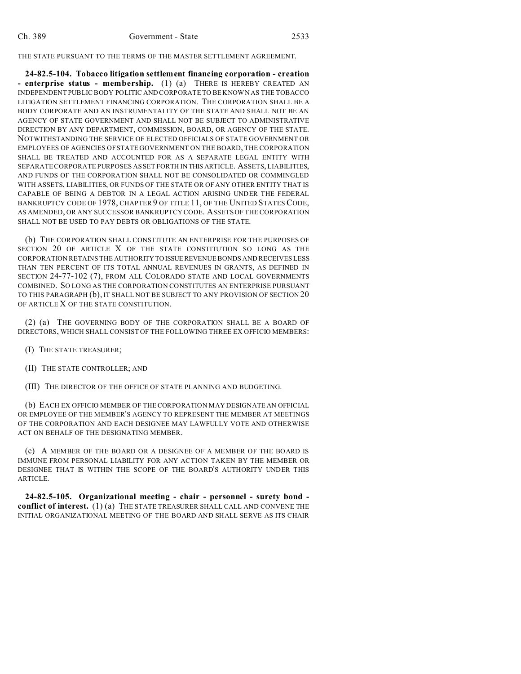THE STATE PURSUANT TO THE TERMS OF THE MASTER SETTLEMENT AGREEMENT.

**24-82.5-104. Tobacco litigation settlement financing corporation - creation - enterprise status - membership.** (1) (a) THERE IS HEREBY CREATED AN INDEPENDENT PUBLIC BODY POLITIC AND CORPORATE TO BE KNOWN AS THE TOBACCO LITIGATION SETTLEMENT FINANCING CORPORATION. THE CORPORATION SHALL BE A BODY CORPORATE AND AN INSTRUMENTALITY OF THE STATE AND SHALL NOT BE AN AGENCY OF STATE GOVERNMENT AND SHALL NOT BE SUBJECT TO ADMINISTRATIVE DIRECTION BY ANY DEPARTMENT, COMMISSION, BOARD, OR AGENCY OF THE STATE. NOTWITHSTANDING THE SERVICE OF ELECTED OFFICIALS OF STATE GOVERNMENT OR EMPLOYEES OF AGENCIES OF STATE GOVERNMENT ON THE BOARD, THE CORPORATION SHALL BE TREATED AND ACCOUNTED FOR AS A SEPARATE LEGAL ENTITY WITH SEPARATE CORPORATE PURPOSES AS SET FORTH IN THIS ARTICLE. ASSETS, LIABILITIES, AND FUNDS OF THE CORPORATION SHALL NOT BE CONSOLIDATED OR COMMINGLED WITH ASSETS, LIABILITIES, OR FUNDS OF THE STATE OR OF ANY OTHER ENTITY THAT IS CAPABLE OF BEING A DEBTOR IN A LEGAL ACTION ARISING UNDER THE FEDERAL BANKRUPTCY CODE OF 1978, CHAPTER 9 OF TITLE 11, OF THE UNITED STATES CODE, AS AMENDED, OR ANY SUCCESSOR BANKRUPTCY CODE. ASSETS OF THE CORPORATION SHALL NOT BE USED TO PAY DEBTS OR OBLIGATIONS OF THE STATE.

(b) THE CORPORATION SHALL CONSTITUTE AN ENTERPRISE FOR THE PURPOSES OF SECTION 20 OF ARTICLE X OF THE STATE CONSTITUTION SO LONG AS THE CORPORATION RETAINS THE AUTHORITY TO ISSUE REVENUE BONDS AND RECEIVES LESS THAN TEN PERCENT OF ITS TOTAL ANNUAL REVENUES IN GRANTS, AS DEFINED IN SECTION 24-77-102 (7), FROM ALL COLORADO STATE AND LOCAL GOVERNMENTS COMBINED. SO LONG AS THE CORPORATION CONSTITUTES AN ENTERPRISE PURSUANT TO THIS PARAGRAPH (b), IT SHALL NOT BE SUBJECT TO ANY PROVISION OF SECTION 20 OF ARTICLE X OF THE STATE CONSTITUTION.

(2) (a) THE GOVERNING BODY OF THE CORPORATION SHALL BE A BOARD OF DIRECTORS, WHICH SHALL CONSIST OF THE FOLLOWING THREE EX OFFICIO MEMBERS:

- (I) THE STATE TREASURER;
- (II) THE STATE CONTROLLER; AND
- (III) THE DIRECTOR OF THE OFFICE OF STATE PLANNING AND BUDGETING.

(b) EACH EX OFFICIO MEMBER OF THE CORPORATION MAY DESIGNATE AN OFFICIAL OR EMPLOYEE OF THE MEMBER'S AGENCY TO REPRESENT THE MEMBER AT MEETINGS OF THE CORPORATION AND EACH DESIGNEE MAY LAWFULLY VOTE AND OTHERWISE ACT ON BEHALF OF THE DESIGNATING MEMBER.

(c) A MEMBER OF THE BOARD OR A DESIGNEE OF A MEMBER OF THE BOARD IS IMMUNE FROM PERSONAL LIABILITY FOR ANY ACTION TAKEN BY THE MEMBER OR DESIGNEE THAT IS WITHIN THE SCOPE OF THE BOARD'S AUTHORITY UNDER THIS ARTICLE.

**24-82.5-105. Organizational meeting - chair - personnel - surety bond conflict of interest.** (1) (a) THE STATE TREASURER SHALL CALL AND CONVENE THE INITIAL ORGANIZATIONAL MEETING OF THE BOARD AND SHALL SERVE AS ITS CHAIR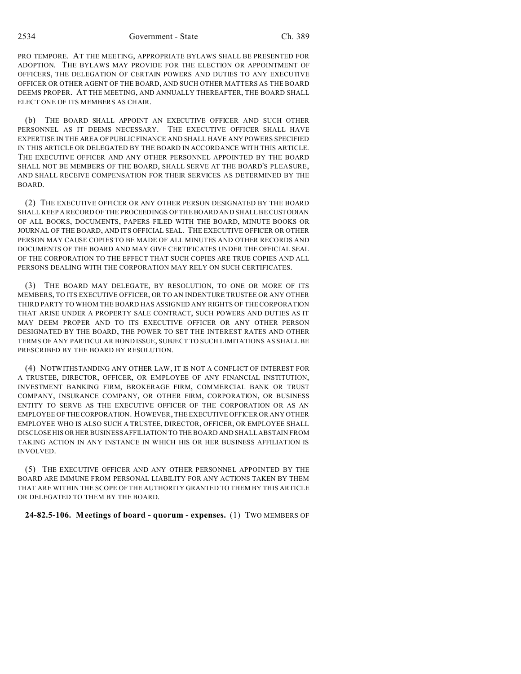2534 Government - State Ch. 389

PRO TEMPORE. AT THE MEETING, APPROPRIATE BYLAWS SHALL BE PRESENTED FOR ADOPTION. THE BYLAWS MAY PROVIDE FOR THE ELECTION OR APPOINTMENT OF OFFICERS, THE DELEGATION OF CERTAIN POWERS AND DUTIES TO ANY EXECUTIVE OFFICER OR OTHER AGENT OF THE BOARD, AND SUCH OTHER MATTERS AS THE BOARD DEEMS PROPER. AT THE MEETING, AND ANNUALLY THEREAFTER, THE BOARD SHALL ELECT ONE OF ITS MEMBERS AS CHAIR.

(b) THE BOARD SHALL APPOINT AN EXECUTIVE OFFICER AND SUCH OTHER PERSONNEL AS IT DEEMS NECESSARY. THE EXECUTIVE OFFICER SHALL HAVE EXPERTISE IN THE AREA OF PUBLIC FINANCE AND SHALL HAVE ANY POWERS SPECIFIED IN THIS ARTICLE OR DELEGATED BY THE BOARD IN ACCORDANCE WITH THIS ARTICLE. THE EXECUTIVE OFFICER AND ANY OTHER PERSONNEL APPOINTED BY THE BOARD SHALL NOT BE MEMBERS OF THE BOARD, SHALL SERVE AT THE BOARD'S PLEASURE, AND SHALL RECEIVE COMPENSATION FOR THEIR SERVICES AS DETERMINED BY THE BOARD.

(2) THE EXECUTIVE OFFICER OR ANY OTHER PERSON DESIGNATED BY THE BOARD SHALL KEEP A RECORD OF THE PROCEEDINGS OF THE BOARD AND SHALL BE CUSTODIAN OF ALL BOOKS, DOCUMENTS, PAPERS FILED WITH THE BOARD, MINUTE BOOKS OR JOURNAL OF THE BOARD, AND ITS OFFICIAL SEAL. THE EXECUTIVE OFFICER OR OTHER PERSON MAY CAUSE COPIES TO BE MADE OF ALL MINUTES AND OTHER RECORDS AND DOCUMENTS OF THE BOARD AND MAY GIVE CERTIFICATES UNDER THE OFFICIAL SEAL OF THE CORPORATION TO THE EFFECT THAT SUCH COPIES ARE TRUE COPIES AND ALL PERSONS DEALING WITH THE CORPORATION MAY RELY ON SUCH CERTIFICATES.

(3) THE BOARD MAY DELEGATE, BY RESOLUTION, TO ONE OR MORE OF ITS MEMBERS, TO ITS EXECUTIVE OFFICER, OR TO AN INDENTURE TRUSTEE OR ANY OTHER THIRD PARTY TO WHOM THE BOARD HAS ASSIGNED ANY RIGHTS OF THE CORPORATION THAT ARISE UNDER A PROPERTY SALE CONTRACT, SUCH POWERS AND DUTIES AS IT MAY DEEM PROPER AND TO ITS EXECUTIVE OFFICER OR ANY OTHER PERSON DESIGNATED BY THE BOARD, THE POWER TO SET THE INTEREST RATES AND OTHER TERMS OF ANY PARTICULAR BOND ISSUE, SUBJECT TO SUCH LIMITATIONS AS SHALL BE PRESCRIBED BY THE BOARD BY RESOLUTION.

(4) NOTWITHSTANDING ANY OTHER LAW, IT IS NOT A CONFLICT OF INTEREST FOR A TRUSTEE, DIRECTOR, OFFICER, OR EMPLOYEE OF ANY FINANCIAL INSTITUTION, INVESTMENT BANKING FIRM, BROKERAGE FIRM, COMMERCIAL BANK OR TRUST COMPANY, INSURANCE COMPANY, OR OTHER FIRM, CORPORATION, OR BUSINESS ENTITY TO SERVE AS THE EXECUTIVE OFFICER OF THE CORPORATION OR AS AN EMPLOYEE OF THECORPORATION. HOWEVER, THE EXECUTIVE OFFICER OR ANY OTHER EMPLOYEE WHO IS ALSO SUCH A TRUSTEE, DIRECTOR, OFFICER, OR EMPLOYEE SHALL DISCLOSE HIS OR HER BUSINESS AFFILIATION TO THE BOARD AND SHALL ABSTAIN FROM TAKING ACTION IN ANY INSTANCE IN WHICH HIS OR HER BUSINESS AFFILIATION IS INVOLVED.

(5) THE EXECUTIVE OFFICER AND ANY OTHER PERSONNEL APPOINTED BY THE BOARD ARE IMMUNE FROM PERSONAL LIABILITY FOR ANY ACTIONS TAKEN BY THEM THAT ARE WITHIN THE SCOPE OF THE AUTHORITY GRANTED TO THEM BY THIS ARTICLE OR DELEGATED TO THEM BY THE BOARD.

**24-82.5-106. Meetings of board - quorum - expenses.** (1) TWO MEMBERS OF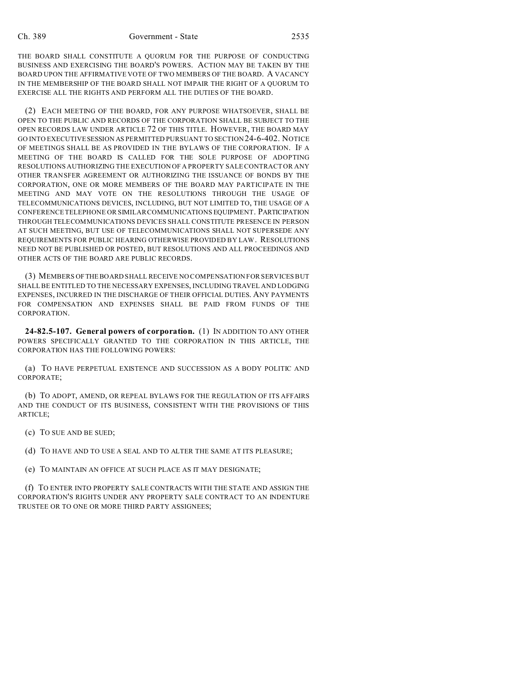THE BOARD SHALL CONSTITUTE A QUORUM FOR THE PURPOSE OF CONDUCTING BUSINESS AND EXERCISING THE BOARD'S POWERS. ACTION MAY BE TAKEN BY THE BOARD UPON THE AFFIRMATIVE VOTE OF TWO MEMBERS OF THE BOARD. A VACANCY IN THE MEMBERSHIP OF THE BOARD SHALL NOT IMPAIR THE RIGHT OF A QUORUM TO EXERCISE ALL THE RIGHTS AND PERFORM ALL THE DUTIES OF THE BOARD.

(2) EACH MEETING OF THE BOARD, FOR ANY PURPOSE WHATSOEVER, SHALL BE OPEN TO THE PUBLIC AND RECORDS OF THE CORPORATION SHALL BE SUBJECT TO THE OPEN RECORDS LAW UNDER ARTICLE 72 OF THIS TITLE. HOWEVER, THE BOARD MAY GO INTO EXECUTIVE SESSION AS PERMITTED PURSUANT TO SECTION 24-6-402. NOTICE OF MEETINGS SHALL BE AS PROVIDED IN THE BYLAWS OF THE CORPORATION. IF A MEETING OF THE BOARD IS CALLED FOR THE SOLE PURPOSE OF ADOPTING RESOLUTIONS AUTHORIZING THE EXECUTION OF A PROPERTY SALE CONTRACT OR ANY OTHER TRANSFER AGREEMENT OR AUTHORIZING THE ISSUANCE OF BONDS BY THE CORPORATION, ONE OR MORE MEMBERS OF THE BOARD MAY PARTICIPATE IN THE MEETING AND MAY VOTE ON THE RESOLUTIONS THROUGH THE USAGE OF TELECOMMUNICATIONS DEVICES, INCLUDING, BUT NOT LIMITED TO, THE USAGE OF A CONFERENCE TELEPHONE OR SIMILAR COMMUNICATIONS EQUIPMENT. PARTICIPATION THROUGH TELECOMMUNICATIONS DEVICES SHALL CONSTITUTE PRESENCE IN PERSON AT SUCH MEETING, BUT USE OF TELECOMMUNICATIONS SHALL NOT SUPERSEDE ANY REQUIREMENTS FOR PUBLIC HEARING OTHERWISE PROVIDED BY LAW. RESOLUTIONS NEED NOT BE PUBLISHED OR POSTED, BUT RESOLUTIONS AND ALL PROCEEDINGS AND OTHER ACTS OF THE BOARD ARE PUBLIC RECORDS.

(3) MEMBERS OFTHE BOARD SHALL RECEIVE NO COMPENSATION FOR SERVICES BUT SHALL BE ENTITLED TO THE NECESSARY EXPENSES, INCLUDING TRAVEL AND LODGING EXPENSES, INCURRED IN THE DISCHARGE OF THEIR OFFICIAL DUTIES. ANY PAYMENTS FOR COMPENSATION AND EXPENSES SHALL BE PAID FROM FUNDS OF THE CORPORATION.

**24-82.5-107. General powers of corporation.** (1) IN ADDITION TO ANY OTHER POWERS SPECIFICALLY GRANTED TO THE CORPORATION IN THIS ARTICLE, THE CORPORATION HAS THE FOLLOWING POWERS:

(a) TO HAVE PERPETUAL EXISTENCE AND SUCCESSION AS A BODY POLITIC AND CORPORATE;

(b) TO ADOPT, AMEND, OR REPEAL BYLAWS FOR THE REGULATION OF ITS AFFAIRS AND THE CONDUCT OF ITS BUSINESS, CONSISTENT WITH THE PROVISIONS OF THIS ARTICLE;

(c) TO SUE AND BE SUED;

(d) TO HAVE AND TO USE A SEAL AND TO ALTER THE SAME AT ITS PLEASURE;

(e) TO MAINTAIN AN OFFICE AT SUCH PLACE AS IT MAY DESIGNATE;

(f) TO ENTER INTO PROPERTY SALE CONTRACTS WITH THE STATE AND ASSIGN THE CORPORATION'S RIGHTS UNDER ANY PROPERTY SALE CONTRACT TO AN INDENTURE TRUSTEE OR TO ONE OR MORE THIRD PARTY ASSIGNEES;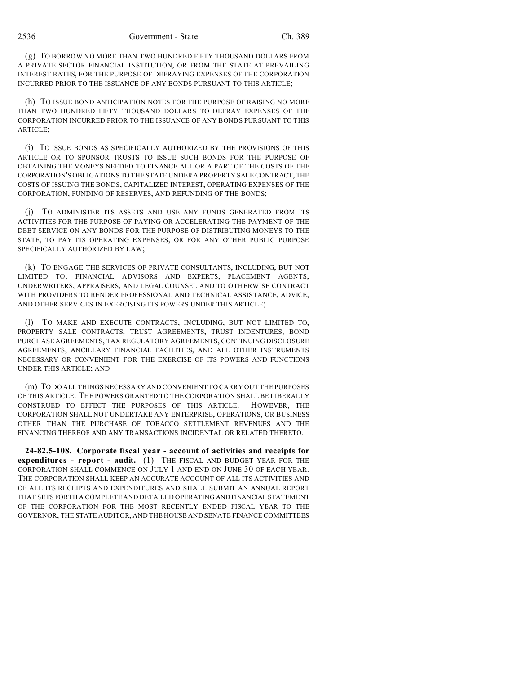(g) TO BORROW NO MORE THAN TWO HUNDRED FIFTY THOUSAND DOLLARS FROM A PRIVATE SECTOR FINANCIAL INSTITUTION, OR FROM THE STATE AT PREVAILING INTEREST RATES, FOR THE PURPOSE OF DEFRAYING EXPENSES OF THE CORPORATION INCURRED PRIOR TO THE ISSUANCE OF ANY BONDS PURSUANT TO THIS ARTICLE;

(h) TO ISSUE BOND ANTICIPATION NOTES FOR THE PURPOSE OF RAISING NO MORE THAN TWO HUNDRED FIFTY THOUSAND DOLLARS TO DEFRAY EXPENSES OF THE CORPORATION INCURRED PRIOR TO THE ISSUANCE OF ANY BONDS PURSUANT TO THIS ARTICLE;

(i) TO ISSUE BONDS AS SPECIFICALLY AUTHORIZED BY THE PROVISIONS OF THIS ARTICLE OR TO SPONSOR TRUSTS TO ISSUE SUCH BONDS FOR THE PURPOSE OF OBTAINING THE MONEYS NEEDED TO FINANCE ALL OR A PART OF THE COSTS OF THE CORPORATION'S OBLIGATIONS TO THE STATE UNDER A PROPERTY SALE CONTRACT, THE COSTS OF ISSUING THE BONDS, CAPITALIZED INTEREST, OPERATING EXPENSES OF THE CORPORATION, FUNDING OF RESERVES, AND REFUNDING OF THE BONDS;

(j) TO ADMINISTER ITS ASSETS AND USE ANY FUNDS GENERATED FROM ITS ACTIVITIES FOR THE PURPOSE OF PAYING OR ACCELERATING THE PAYMENT OF THE DEBT SERVICE ON ANY BONDS FOR THE PURPOSE OF DISTRIBUTING MONEYS TO THE STATE, TO PAY ITS OPERATING EXPENSES, OR FOR ANY OTHER PUBLIC PURPOSE SPECIFICALLY AUTHORIZED BY LAW;

(k) TO ENGAGE THE SERVICES OF PRIVATE CONSULTANTS, INCLUDING, BUT NOT LIMITED TO, FINANCIAL ADVISORS AND EXPERTS, PLACEMENT AGENTS, UNDERWRITERS, APPRAISERS, AND LEGAL COUNSEL AND TO OTHERWISE CONTRACT WITH PROVIDERS TO RENDER PROFESSIONAL AND TECHNICAL ASSISTANCE, ADVICE, AND OTHER SERVICES IN EXERCISING ITS POWERS UNDER THIS ARTICLE;

(l) TO MAKE AND EXECUTE CONTRACTS, INCLUDING, BUT NOT LIMITED TO, PROPERTY SALE CONTRACTS, TRUST AGREEMENTS, TRUST INDENTURES, BOND PURCHASE AGREEMENTS, TAX REGULATORY AGREEMENTS, CONTINUING DISCLOSURE AGREEMENTS, ANCILLARY FINANCIAL FACILITIES, AND ALL OTHER INSTRUMENTS NECESSARY OR CONVENIENT FOR THE EXERCISE OF ITS POWERS AND FUNCTIONS UNDER THIS ARTICLE; AND

(m) TO DO ALL THINGS NECESSARY AND CONVENIENT TO CARRY OUT THE PURPOSES OF THIS ARTICLE. THE POWERS GRANTED TO THE CORPORATION SHALL BE LIBERALLY CONSTRUED TO EFFECT THE PURPOSES OF THIS ARTICLE. HOWEVER, THE CORPORATION SHALL NOT UNDERTAKE ANY ENTERPRISE, OPERATIONS, OR BUSINESS OTHER THAN THE PURCHASE OF TOBACCO SETTLEMENT REVENUES AND THE FINANCING THEREOF AND ANY TRANSACTIONS INCIDENTAL OR RELATED THERETO.

**24-82.5-108. Corporate fiscal year - account of activities and receipts for expenditures - report - audit.** (1) THE FISCAL AND BUDGET YEAR FOR THE CORPORATION SHALL COMMENCE ON JULY 1 AND END ON JUNE 30 OF EACH YEAR. THE CORPORATION SHALL KEEP AN ACCURATE ACCOUNT OF ALL ITS ACTIVITIES AND OF ALL ITS RECEIPTS AND EXPENDITURES AND SHALL SUBMIT AN ANNUAL REPORT THAT SETS FORTH A COMPLETE AND DETAILED OPERATING AND FINANCIAL STATEMENT OF THE CORPORATION FOR THE MOST RECENTLY ENDED FISCAL YEAR TO THE GOVERNOR, THE STATE AUDITOR, AND THE HOUSE AND SENATE FINANCE COMMITTEES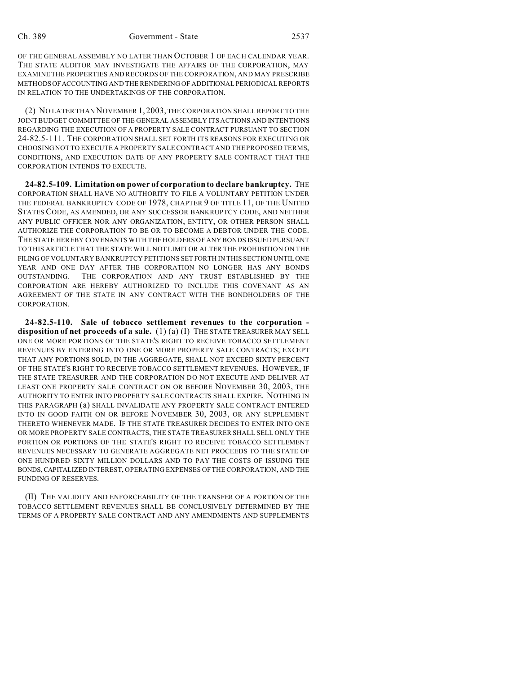OF THE GENERAL ASSEMBLY NO LATER THAN OCTOBER 1 OF EACH CALENDAR YEAR. THE STATE AUDITOR MAY INVESTIGATE THE AFFAIRS OF THE CORPORATION, MAY EXAMINE THE PROPERTIES AND RECORDS OF THE CORPORATION, AND MAY PRESCRIBE METHODSOFACCOUNTING AND THE RENDERING OF ADDITIONAL PERIODICAL REPORTS IN RELATION TO THE UNDERTAKINGS OF THE CORPORATION.

(2) NO LATER THAN NOVEMBER 1, 2003, THE CORPORATION SHALL REPORT TO THE JOINT BUDGET COMMITTEE OF THE GENERAL ASSEMBLY ITS ACTIONS AND INTENTIONS REGARDING THE EXECUTION OF A PROPERTY SALE CONTRACT PURSUANT TO SECTION 24-82.5-111. THE CORPORATION SHALL SET FORTH ITS REASONS FOR EXECUTING OR CHOOSING NOT TO EXECUTE A PROPERTY SALE CONTRACT AND THE PROPOSED TERMS, CONDITIONS, AND EXECUTION DATE OF ANY PROPERTY SALE CONTRACT THAT THE CORPORATION INTENDS TO EXECUTE.

**24-82.5-109. Limitation on power of corporation to declare bankruptcy.** THE CORPORATION SHALL HAVE NO AUTHORITY TO FILE A VOLUNTARY PETITION UNDER THE FEDERAL BANKRUPTCY CODE OF 1978, CHAPTER 9 OF TITLE 11, OF THE UNITED STATES CODE, AS AMENDED, OR ANY SUCCESSOR BANKRUPTCY CODE, AND NEITHER ANY PUBLIC OFFICER NOR ANY ORGANIZATION, ENTITY, OR OTHER PERSON SHALL AUTHORIZE THE CORPORATION TO BE OR TO BECOME A DEBTOR UNDER THE CODE. THE STATE HEREBY COVENANTS WITH THE HOLDERS OF ANY BONDS ISSUED PURSUANT TO THIS ARTICLE THAT THE STATE WILL NOT LIMIT OR ALTER THE PROHIBITION ON THE FILING OF VOLUNTARY BANKRUPTCY PETITIONS SET FORTH IN THIS SECTION UNTILONE YEAR AND ONE DAY AFTER THE CORPORATION NO LONGER HAS ANY BONDS OUTSTANDING. THE CORPORATION AND ANY TRUST ESTABLISHED BY THE CORPORATION ARE HEREBY AUTHORIZED TO INCLUDE THIS COVENANT AS AN AGREEMENT OF THE STATE IN ANY CONTRACT WITH THE BONDHOLDERS OF THE CORPORATION.

**24-82.5-110. Sale of tobacco settlement revenues to the corporation disposition of net proceeds of a sale.** (1) (a) (I) THE STATE TREASURER MAY SELL ONE OR MORE PORTIONS OF THE STATE'S RIGHT TO RECEIVE TOBACCO SETTLEMENT REVENUES BY ENTERING INTO ONE OR MORE PROPERTY SALE CONTRACTS; EXCEPT THAT ANY PORTIONS SOLD, IN THE AGGREGATE, SHALL NOT EXCEED SIXTY PERCENT OF THE STATE'S RIGHT TO RECEIVE TOBACCO SETTLEMENT REVENUES. HOWEVER, IF THE STATE TREASURER AND THE CORPORATION DO NOT EXECUTE AND DELIVER AT LEAST ONE PROPERTY SALE CONTRACT ON OR BEFORE NOVEMBER 30, 2003, THE AUTHORITY TO ENTER INTO PROPERTY SALE CONTRACTS SHALL EXPIRE. NOTHING IN THIS PARAGRAPH (a) SHALL INVALIDATE ANY PROPERTY SALE CONTRACT ENTERED INTO IN GOOD FAITH ON OR BEFORE NOVEMBER 30, 2003, OR ANY SUPPLEMENT THERETO WHENEVER MADE. IF THE STATE TREASURER DECIDES TO ENTER INTO ONE OR MORE PROPERTY SALE CONTRACTS, THE STATE TREASURER SHALL SELL ONLY THE PORTION OR PORTIONS OF THE STATE'S RIGHT TO RECEIVE TOBACCO SETTLEMENT REVENUES NECESSARY TO GENERATE AGGREGATE NET PROCEEDS TO THE STATE OF ONE HUNDRED SIXTY MILLION DOLLARS AND TO PAY THE COSTS OF ISSUING THE BONDS,CAPITALIZED INTEREST, OPERATING EXPENSES OF THE CORPORATION, AND THE FUNDING OF RESERVES.

(II) THE VALIDITY AND ENFORCEABILITY OF THE TRANSFER OF A PORTION OF THE TOBACCO SETTLEMENT REVENUES SHALL BE CONCLUSIVELY DETERMINED BY THE TERMS OF A PROPERTY SALE CONTRACT AND ANY AMENDMENTS AND SUPPLEMENTS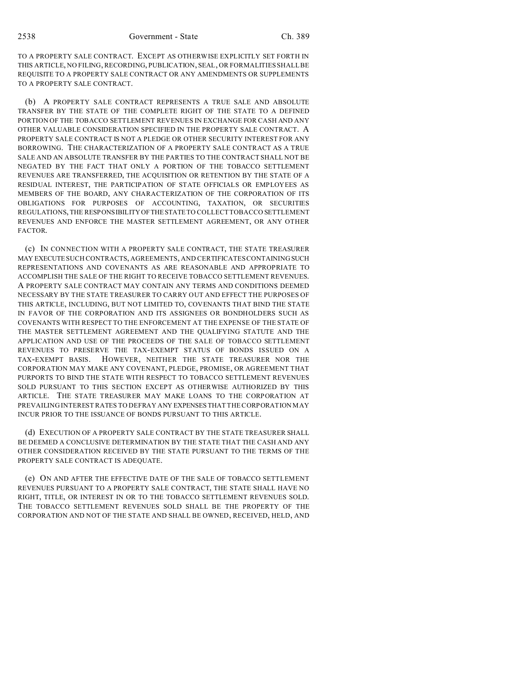TO A PROPERTY SALE CONTRACT. EXCEPT AS OTHERWISE EXPLICITLY SET FORTH IN THIS ARTICLE, NO FILING, RECORDING, PUBLICATION, SEAL, OR FORMALITIES SHALL BE REQUISITE TO A PROPERTY SALE CONTRACT OR ANY AMENDMENTS OR SUPPLEMENTS TO A PROPERTY SALE CONTRACT.

(b) A PROPERTY SALE CONTRACT REPRESENTS A TRUE SALE AND ABSOLUTE TRANSFER BY THE STATE OF THE COMPLETE RIGHT OF THE STATE TO A DEFINED PORTION OF THE TOBACCO SETTLEMENT REVENUES IN EXCHANGE FOR CASH AND ANY OTHER VALUABLE CONSIDERATION SPECIFIED IN THE PROPERTY SALE CONTRACT. A PROPERTY SALE CONTRACT IS NOT A PLEDGE OR OTHER SECURITY INTEREST FOR ANY BORROWING. THE CHARACTERIZATION OF A PROPERTY SALE CONTRACT AS A TRUE SALE AND AN ABSOLUTE TRANSFER BY THE PARTIES TO THE CONTRACT SHALL NOT BE NEGATED BY THE FACT THAT ONLY A PORTION OF THE TOBACCO SETTLEMENT REVENUES ARE TRANSFERRED, THE ACQUISITION OR RETENTION BY THE STATE OF A RESIDUAL INTEREST, THE PARTICIPATION OF STATE OFFICIALS OR EMPLOYEES AS MEMBERS OF THE BOARD, ANY CHARACTERIZATION OF THE CORPORATION OF ITS OBLIGATIONS FOR PURPOSES OF ACCOUNTING, TAXATION, OR SECURITIES REGULATIONS, THE RESPONSIBILITYOFTHESTATE TO COLLECT TOBACCO SETTLEMENT REVENUES AND ENFORCE THE MASTER SETTLEMENT AGREEMENT, OR ANY OTHER FACTOR.

(c) IN CONNECTION WITH A PROPERTY SALE CONTRACT, THE STATE TREASURER MAY EXECUTE SUCH CONTRACTS, AGREEMENTS, AND CERTIFICATES CONTAINING SUCH REPRESENTATIONS AND COVENANTS AS ARE REASONABLE AND APPROPRIATE TO ACCOMPLISH THE SALE OF THE RIGHT TO RECEIVE TOBACCO SETTLEMENT REVENUES. A PROPERTY SALE CONTRACT MAY CONTAIN ANY TERMS AND CONDITIONS DEEMED NECESSARY BY THE STATE TREASURER TO CARRY OUT AND EFFECT THE PURPOSES OF THIS ARTICLE, INCLUDING, BUT NOT LIMITED TO, COVENANTS THAT BIND THE STATE IN FAVOR OF THE CORPORATION AND ITS ASSIGNEES OR BONDHOLDERS SUCH AS COVENANTS WITH RESPECT TO THE ENFORCEMENT AT THE EXPENSE OF THE STATE OF THE MASTER SETTLEMENT AGREEMENT AND THE QUALIFYING STATUTE AND THE APPLICATION AND USE OF THE PROCEEDS OF THE SALE OF TOBACCO SETTLEMENT REVENUES TO PRESERVE THE TAX-EXEMPT STATUS OF BONDS ISSUED ON A TAX-EXEMPT BASIS. HOWEVER, NEITHER THE STATE TREASURER NOR THE CORPORATION MAY MAKE ANY COVENANT, PLEDGE, PROMISE, OR AGREEMENT THAT PURPORTS TO BIND THE STATE WITH RESPECT TO TOBACCO SETTLEMENT REVENUES SOLD PURSUANT TO THIS SECTION EXCEPT AS OTHERWISE AUTHORIZED BY THIS ARTICLE. THE STATE TREASURER MAY MAKE LOANS TO THE CORPORATION AT PREVAILING INTEREST RATES TO DEFRAY ANY EXPENSES THAT THE CORPORATION MAY INCUR PRIOR TO THE ISSUANCE OF BONDS PURSUANT TO THIS ARTICLE.

(d) EXECUTION OF A PROPERTY SALE CONTRACT BY THE STATE TREASURER SHALL BE DEEMED A CONCLUSIVE DETERMINATION BY THE STATE THAT THE CASH AND ANY OTHER CONSIDERATION RECEIVED BY THE STATE PURSUANT TO THE TERMS OF THE PROPERTY SALE CONTRACT IS ADEQUATE.

(e) ON AND AFTER THE EFFECTIVE DATE OF THE SALE OF TOBACCO SETTLEMENT REVENUES PURSUANT TO A PROPERTY SALE CONTRACT, THE STATE SHALL HAVE NO RIGHT, TITLE, OR INTEREST IN OR TO THE TOBACCO SETTLEMENT REVENUES SOLD. THE TOBACCO SETTLEMENT REVENUES SOLD SHALL BE THE PROPERTY OF THE CORPORATION AND NOT OF THE STATE AND SHALL BE OWNED, RECEIVED, HELD, AND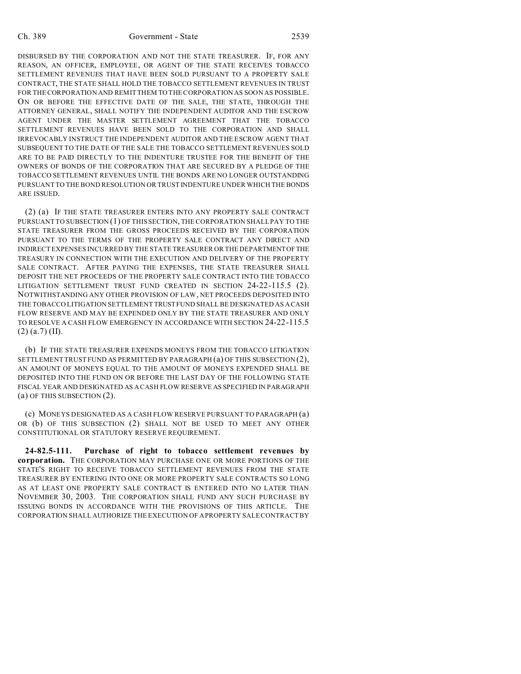#### Ch. 389 Government - State 2539

DISBURSED BY THE CORPORATION AND NOT THE STATE TREASURER. IF, FOR ANY REASON, AN OFFICER, EMPLOYEE, OR AGENT OF THE STATE RECEIVES TOBACCO SETTLEMENT REVENUES THAT HAVE BEEN SOLD PURSUANT TO A PROPERTY SALE CONTRACT, THE STATE SHALL HOLD THE TOBACCO SETTLEMENT REVENUES IN TRUST FOR THE CORPORATION AND REMIT THEM TO THE CORPORATION AS SOON AS POSSIBLE. ON OR BEFORE THE EFFECTIVE DATE OF THE SALE, THE STATE, THROUGH THE ATTORNEY GENERAL, SHALL NOTIFY THE INDEPENDENT AUDITOR AND THE ESCROW AGENT UNDER THE MASTER SETTLEMENT AGREEMENT THAT THE TOBACCO SETTLEMENT REVENUES HAVE BEEN SOLD TO THE CORPORATION AND SHALL IRREVOCABLY INSTRUCT THE INDEPENDENT AUDITOR AND THE ESCROW AGENT THAT SUBSEQUENT TO THE DATE OF THE SALE THE TOBACCO SETTLEMENT REVENUES SOLD ARE TO BE PAID DIRECTLY TO THE INDENTURE TRUSTEE FOR THE BENEFIT OF THE OWNERS OF BONDS OF THE CORPORATION THAT ARE SECURED BY A PLEDGE OF THE TOBACCO SETTLEMENT REVENUES UNTIL THE BONDS ARE NO LONGER OUTSTANDING PURSUANT TO THE BOND RESOLUTION OR TRUST INDENTURE UNDER WHICH THE BONDS ARE ISSUED.

(2) (a) IF THE STATE TREASURER ENTERS INTO ANY PROPERTY SALE CONTRACT PURSUANT TO SUBSECTION (1) OF THIS SECTION, THE CORPORATION SHALL PAY TO THE STATE TREASURER FROM THE GROSS PROCEEDS RECEIVED BY THE CORPORATION PURSUANT TO THE TERMS OF THE PROPERTY SALE CONTRACT ANY DIRECT AND INDIRECT EXPENSES INCURRED BY THE STATE TREASURER OR THE DEPARTMENTOFTHE TREASURY IN CONNECTION WITH THE EXECUTION AND DELIVERY OF THE PROPERTY SALE CONTRACT. AFTER PAYING THE EXPENSES, THE STATE TREASURER SHALL DEPOSIT THE NET PROCEEDS OF THE PROPERTY SALE CONTRACT INTO THE TOBACCO LITIGATION SETTLEMENT TRUST FUND CREATED IN SECTION 24-22-115.5 (2). NOTWITHSTANDING ANY OTHER PROVISION OF LAW, NET PROCEEDS DEPOSITED INTO THE TOBACCO LITIGATION SETTLEMENT TRUST FUND SHALL BE DESIGNATED AS A CASH FLOW RESERVE AND MAY BE EXPENDED ONLY BY THE STATE TREASURER AND ONLY TO RESOLVE A CASH FLOW EMERGENCY IN ACCORDANCE WITH SECTION 24-22-115.5  $(2)$  (a.7) (II).

(b) IF THE STATE TREASURER EXPENDS MONEYS FROM THE TOBACCO LITIGATION SETTLEMENT TRUST FUND AS PERMITTED BY PARAGRAPH (a) OF THIS SUBSECTION (2), AN AMOUNT OF MONEYS EQUAL TO THE AMOUNT OF MONEYS EXPENDED SHALL BE DEPOSITED INTO THE FUND ON OR BEFORE THE LAST DAY OF THE FOLLOWING STATE FISCAL YEAR AND DESIGNATED AS A CASH FLOW RESERVE AS SPECIFIED IN PARAGRAPH (a) OF THIS SUBSECTION (2).

(c) MONEYS DESIGNATED AS A CASH FLOW RESERVE PURSUANT TO PARAGRAPH (a) OR (b) OF THIS SUBSECTION (2) SHALL NOT BE USED TO MEET ANY OTHER CONSTITUTIONAL OR STATUTORY RESERVE REQUIREMENT.

**24-82.5-111. Purchase of right to tobacco settlement revenues by corporation.** THE CORPORATION MAY PURCHASE ONE OR MORE PORTIONS OF THE STATE'S RIGHT TO RECEIVE TOBACCO SETTLEMENT REVENUES FROM THE STATE TREASURER BY ENTERING INTO ONE OR MORE PROPERTY SALE CONTRACTS SO LONG AS AT LEAST ONE PROPERTY SALE CONTRACT IS ENTERED INTO NO LATER THAN NOVEMBER 30, 2003. THE CORPORATION SHALL FUND ANY SUCH PURCHASE BY ISSUING BONDS IN ACCORDANCE WITH THE PROVISIONS OF THIS ARTICLE. THE CORPORATION SHALL AUTHORIZE THE EXECUTION OF A PROPERTY SALE CONTRACT BY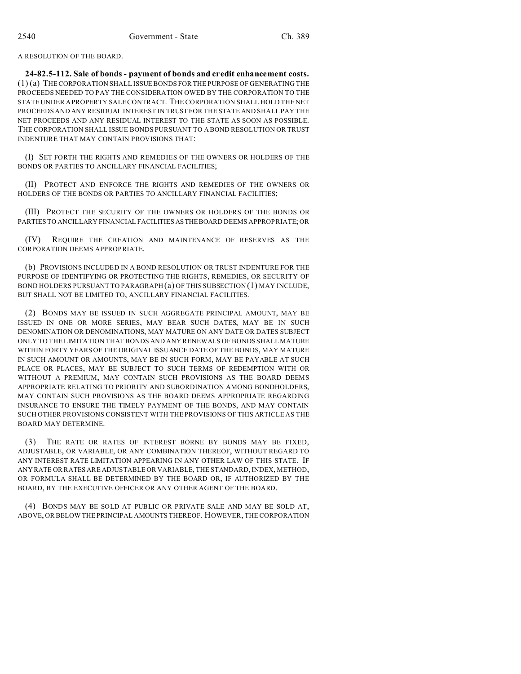A RESOLUTION OF THE BOARD.

**24-82.5-112. Sale of bonds - payment of bonds and credit enhancement costs.** (1) (a) THE CORPORATION SHALL ISSUE BONDS FOR THE PURPOSE OF GENERATING THE PROCEEDS NEEDED TO PAY THE CONSIDERATION OWED BY THE CORPORATION TO THE STATE UNDER A PROPERTY SALE CONTRACT. THE CORPORATION SHALL HOLD THE NET PROCEEDS AND ANY RESIDUAL INTEREST IN TRUST FOR THE STATE AND SHALL PAY THE NET PROCEEDS AND ANY RESIDUAL INTEREST TO THE STATE AS SOON AS POSSIBLE. THE CORPORATION SHALL ISSUE BONDS PURSUANT TO A BOND RESOLUTION OR TRUST INDENTURE THAT MAY CONTAIN PROVISIONS THAT:

(I) SET FORTH THE RIGHTS AND REMEDIES OF THE OWNERS OR HOLDERS OF THE BONDS OR PARTIES TO ANCILLARY FINANCIAL FACILITIES;

(II) PROTECT AND ENFORCE THE RIGHTS AND REMEDIES OF THE OWNERS OR HOLDERS OF THE BONDS OR PARTIES TO ANCILLARY FINANCIAL FACILITIES;

(III) PROTECT THE SECURITY OF THE OWNERS OR HOLDERS OF THE BONDS OR PARTIES TO ANCILLARY FINANCIAL FACILITIES ASTHEBOARD DEEMS APPROPRIATE; OR

(IV) REQUIRE THE CREATION AND MAINTENANCE OF RESERVES AS THE CORPORATION DEEMS APPROPRIATE.

(b) PROVISIONS INCLUDED IN A BOND RESOLUTION OR TRUST INDENTURE FOR THE PURPOSE OF IDENTIFYING OR PROTECTING THE RIGHTS, REMEDIES, OR SECURITY OF BOND HOLDERS PURSUANT TO PARAGRAPH (a) OF THIS SUBSECTION (1) MAY INCLUDE, BUT SHALL NOT BE LIMITED TO, ANCILLARY FINANCIAL FACILITIES.

(2) BONDS MAY BE ISSUED IN SUCH AGGREGATE PRINCIPAL AMOUNT, MAY BE ISSUED IN ONE OR MORE SERIES, MAY BEAR SUCH DATES, MAY BE IN SUCH DENOMINATION OR DENOMINATIONS, MAY MATURE ON ANY DATE OR DATES SUBJECT ONLY TO THE LIMITATION THAT BONDS AND ANY RENEWALS OF BONDS SHALL MATURE WITHIN FORTY YEARS OF THE ORIGINAL ISSUANCE DATE OF THE BONDS, MAY MATURE IN SUCH AMOUNT OR AMOUNTS, MAY BE IN SUCH FORM, MAY BE PAYABLE AT SUCH PLACE OR PLACES, MAY BE SUBJECT TO SUCH TERMS OF REDEMPTION WITH OR WITHOUT A PREMIUM, MAY CONTAIN SUCH PROVISIONS AS THE BOARD DEEMS APPROPRIATE RELATING TO PRIORITY AND SUBORDINATION AMONG BONDHOLDERS, MAY CONTAIN SUCH PROVISIONS AS THE BOARD DEEMS APPROPRIATE REGARDING INSURANCE TO ENSURE THE TIMELY PAYMENT OF THE BONDS, AND MAY CONTAIN SUCH OTHER PROVISIONS CONSISTENT WITH THE PROVISIONS OF THIS ARTICLE AS THE BOARD MAY DETERMINE.

(3) THE RATE OR RATES OF INTEREST BORNE BY BONDS MAY BE FIXED, ADJUSTABLE, OR VARIABLE, OR ANY COMBINATION THEREOF, WITHOUT REGARD TO ANY INTEREST RATE LIMITATION APPEARING IN ANY OTHER LAW OF THIS STATE. IF ANY RATE OR RATES ARE ADJUSTABLE OR VARIABLE, THE STANDARD, INDEX, METHOD, OR FORMULA SHALL BE DETERMINED BY THE BOARD OR, IF AUTHORIZED BY THE BOARD, BY THE EXECUTIVE OFFICER OR ANY OTHER AGENT OF THE BOARD.

(4) BONDS MAY BE SOLD AT PUBLIC OR PRIVATE SALE AND MAY BE SOLD AT, ABOVE, OR BELOW THE PRINCIPAL AMOUNTS THEREOF. HOWEVER, THE CORPORATION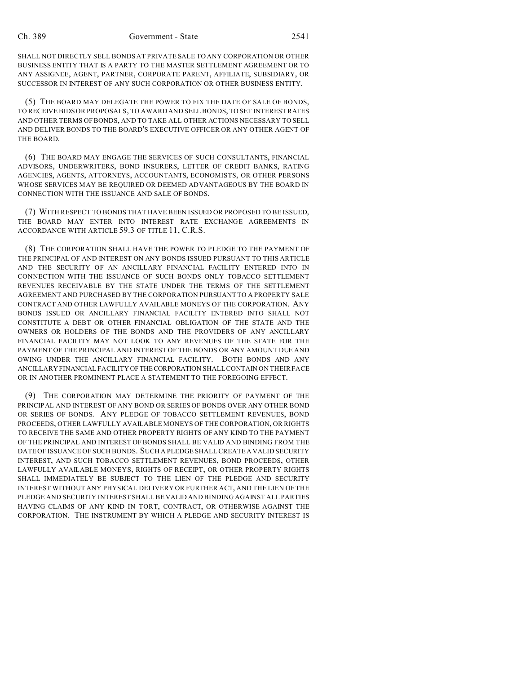SHALL NOT DIRECTLY SELL BONDS AT PRIVATE SALE TO ANY CORPORATION OR OTHER BUSINESS ENTITY THAT IS A PARTY TO THE MASTER SETTLEMENT AGREEMENT OR TO ANY ASSIGNEE, AGENT, PARTNER, CORPORATE PARENT, AFFILIATE, SUBSIDIARY, OR SUCCESSOR IN INTEREST OF ANY SUCH CORPORATION OR OTHER BUSINESS ENTITY.

(5) THE BOARD MAY DELEGATE THE POWER TO FIX THE DATE OF SALE OF BONDS, TO RECEIVE BIDS OR PROPOSALS, TO AWARD AND SELL BONDS, TO SET INTEREST RATES AND OTHER TERMS OF BONDS, AND TO TAKE ALL OTHER ACTIONS NECESSARY TO SELL AND DELIVER BONDS TO THE BOARD'S EXECUTIVE OFFICER OR ANY OTHER AGENT OF THE BOARD.

(6) THE BOARD MAY ENGAGE THE SERVICES OF SUCH CONSULTANTS, FINANCIAL ADVISORS, UNDERWRITERS, BOND INSURERS, LETTER OF CREDIT BANKS, RATING AGENCIES, AGENTS, ATTORNEYS, ACCOUNTANTS, ECONOMISTS, OR OTHER PERSONS WHOSE SERVICES MAY BE REQUIRED OR DEEMED ADVANTAGEOUS BY THE BOARD IN CONNECTION WITH THE ISSUANCE AND SALE OF BONDS.

(7) WITH RESPECT TO BONDS THAT HAVE BEEN ISSUED OR PROPOSED TO BE ISSUED, THE BOARD MAY ENTER INTO INTEREST RATE EXCHANGE AGREEMENTS IN ACCORDANCE WITH ARTICLE 59.3 OF TITLE 11, C.R.S.

(8) THE CORPORATION SHALL HAVE THE POWER TO PLEDGE TO THE PAYMENT OF THE PRINCIPAL OF AND INTEREST ON ANY BONDS ISSUED PURSUANT TO THIS ARTICLE AND THE SECURITY OF AN ANCILLARY FINANCIAL FACILITY ENTERED INTO IN CONNECTION WITH THE ISSUANCE OF SUCH BONDS ONLY TOBACCO SETTLEMENT REVENUES RECEIVABLE BY THE STATE UNDER THE TERMS OF THE SETTLEMENT AGREEMENT AND PURCHASED BY THE CORPORATION PURSUANT TO A PROPERTY SALE CONTRACT AND OTHER LAWFULLY AVAILABLE MONEYS OF THE CORPORATION. ANY BONDS ISSUED OR ANCILLARY FINANCIAL FACILITY ENTERED INTO SHALL NOT CONSTITUTE A DEBT OR OTHER FINANCIAL OBLIGATION OF THE STATE AND THE OWNERS OR HOLDERS OF THE BONDS AND THE PROVIDERS OF ANY ANCILLARY FINANCIAL FACILITY MAY NOT LOOK TO ANY REVENUES OF THE STATE FOR THE PAYMENT OF THE PRINCIPAL AND INTEREST OF THE BONDS OR ANY AMOUNT DUE AND OWING UNDER THE ANCILLARY FINANCIAL FACILITY. BOTH BONDS AND ANY ANCILLARY FINANCIAL FACILITY OFTHECORPORATION SHALL CONTAIN ON THEIR FACE OR IN ANOTHER PROMINENT PLACE A STATEMENT TO THE FOREGOING EFFECT.

(9) THE CORPORATION MAY DETERMINE THE PRIORITY OF PAYMENT OF THE PRINCIPAL AND INTEREST OF ANY BOND OR SERIES OF BONDS OVER ANY OTHER BOND OR SERIES OF BONDS. ANY PLEDGE OF TOBACCO SETTLEMENT REVENUES, BOND PROCEEDS, OTHER LAWFULLY AVAILABLE MONEYS OF THE CORPORATION, OR RIGHTS TO RECEIVE THE SAME AND OTHER PROPERTY RIGHTS OF ANY KIND TO THE PAYMENT OF THE PRINCIPAL AND INTEREST OF BONDS SHALL BE VALID AND BINDING FROM THE DATE OF ISSUANCE OF SUCH BONDS. SUCH A PLEDGE SHALL CREATE A VALID SECURITY INTEREST, AND SUCH TOBACCO SETTLEMENT REVENUES, BOND PROCEEDS, OTHER LAWFULLY AVAILABLE MONEYS, RIGHTS OF RECEIPT, OR OTHER PROPERTY RIGHTS SHALL IMMEDIATELY BE SUBJECT TO THE LIEN OF THE PLEDGE AND SECURITY INTEREST WITHOUT ANY PHYSICAL DELIVERY OR FURTHER ACT, AND THE LIEN OF THE PLEDGE AND SECURITY INTEREST SHALL BE VALID AND BINDING AGAINST ALL PARTIES HAVING CLAIMS OF ANY KIND IN TORT, CONTRACT, OR OTHERWISE AGAINST THE CORPORATION. THE INSTRUMENT BY WHICH A PLEDGE AND SECURITY INTEREST IS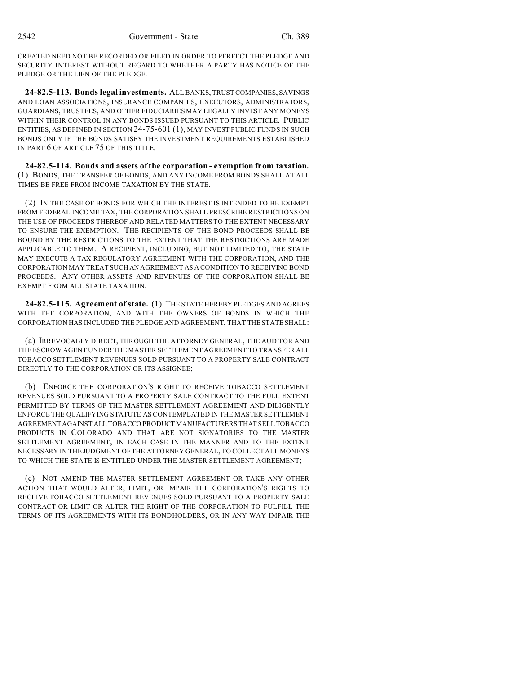CREATED NEED NOT BE RECORDED OR FILED IN ORDER TO PERFECT THE PLEDGE AND SECURITY INTEREST WITHOUT REGARD TO WHETHER A PARTY HAS NOTICE OF THE PLEDGE OR THE LIEN OF THE PLEDGE.

**24-82.5-113. Bonds legal investments.** ALL BANKS, TRUST COMPANIES, SAVINGS AND LOAN ASSOCIATIONS, INSURANCE COMPANIES, EXECUTORS, ADMINISTRATORS, GUARDIANS, TRUSTEES, AND OTHER FIDUCIARIES MAY LEGALLY INVEST ANY MONEYS WITHIN THEIR CONTROL IN ANY BONDS ISSUED PURSUANT TO THIS ARTICLE. PUBLIC ENTITIES, AS DEFINED IN SECTION 24-75-601 (1), MAY INVEST PUBLIC FUNDS IN SUCH BONDS ONLY IF THE BONDS SATISFY THE INVESTMENT REQUIREMENTS ESTABLISHED IN PART 6 OF ARTICLE 75 OF THIS TITLE.

**24-82.5-114. Bonds and assets of the corporation - exemption from taxation.** (1) BONDS, THE TRANSFER OF BONDS, AND ANY INCOME FROM BONDS SHALL AT ALL TIMES BE FREE FROM INCOME TAXATION BY THE STATE.

(2) IN THE CASE OF BONDS FOR WHICH THE INTEREST IS INTENDED TO BE EXEMPT FROM FEDERAL INCOME TAX, THE CORPORATION SHALL PRESCRIBE RESTRICTIONS ON THE USE OF PROCEEDS THEREOF AND RELATED MATTERS TO THE EXTENT NECESSARY TO ENSURE THE EXEMPTION. THE RECIPIENTS OF THE BOND PROCEEDS SHALL BE BOUND BY THE RESTRICTIONS TO THE EXTENT THAT THE RESTRICTIONS ARE MADE APPLICABLE TO THEM. A RECIPIENT, INCLUDING, BUT NOT LIMITED TO, THE STATE MAY EXECUTE A TAX REGULATORY AGREEMENT WITH THE CORPORATION, AND THE CORPORATION MAY TREAT SUCH AN AGREEMENT AS A CONDITION TO RECEIVING BOND PROCEEDS. ANY OTHER ASSETS AND REVENUES OF THE CORPORATION SHALL BE EXEMPT FROM ALL STATE TAXATION.

**24-82.5-115. Agreement of state.** (1) THE STATE HEREBY PLEDGES AND AGREES WITH THE CORPORATION, AND WITH THE OWNERS OF BONDS IN WHICH THE CORPORATION HAS INCLUDED THE PLEDGE AND AGREEMENT, THAT THE STATE SHALL:

(a) IRREVOCABLY DIRECT, THROUGH THE ATTORNEY GENERAL, THE AUDITOR AND THE ESCROW AGENT UNDER THE MASTER SETTLEMENT AGREEMENT TO TRANSFER ALL TOBACCO SETTLEMENT REVENUES SOLD PURSUANT TO A PROPERTY SALE CONTRACT DIRECTLY TO THE CORPORATION OR ITS ASSIGNEE;

(b) ENFORCE THE CORPORATION'S RIGHT TO RECEIVE TOBACCO SETTLEMENT REVENUES SOLD PURSUANT TO A PROPERTY SALE CONTRACT TO THE FULL EXTENT PERMITTED BY TERMS OF THE MASTER SETTLEMENT AGREEMENT AND DILIGENTLY ENFORCE THE QUALIFYING STATUTE AS CONTEMPLATED IN THE MASTER SETTLEMENT AGREEMENT AGAINST ALL TOBACCO PRODUCT MANUFACTURERS THAT SELL TOBACCO PRODUCTS IN COLORADO AND THAT ARE NOT SIGNATORIES TO THE MASTER SETTLEMENT AGREEMENT, IN EACH CASE IN THE MANNER AND TO THE EXTENT NECESSARY IN THE JUDGMENT OF THE ATTORNEY GENERAL, TO COLLECT ALL MONEYS TO WHICH THE STATE IS ENTITLED UNDER THE MASTER SETTLEMENT AGREEMENT;

(c) NOT AMEND THE MASTER SETTLEMENT AGREEMENT OR TAKE ANY OTHER ACTION THAT WOULD ALTER, LIMIT, OR IMPAIR THE CORPORATION'S RIGHTS TO RECEIVE TOBACCO SETTLEMENT REVENUES SOLD PURSUANT TO A PROPERTY SALE CONTRACT OR LIMIT OR ALTER THE RIGHT OF THE CORPORATION TO FULFILL THE TERMS OF ITS AGREEMENTS WITH ITS BONDHOLDERS, OR IN ANY WAY IMPAIR THE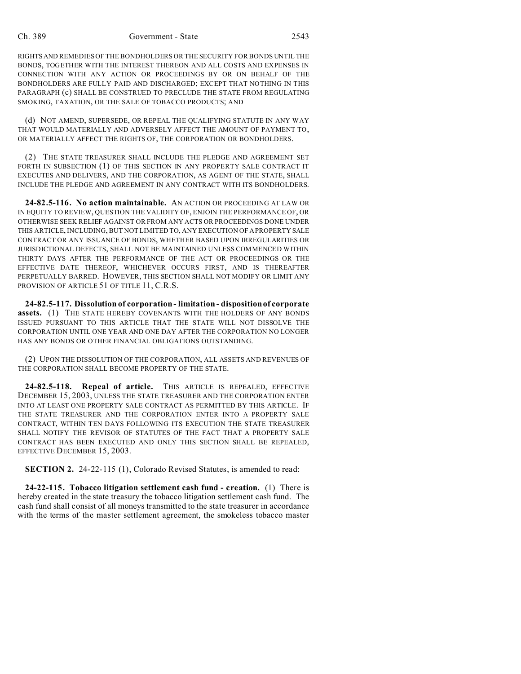#### Ch. 389 Government - State 2543

RIGHTSAND REMEDIES OF THE BONDHOLDERS OR THE SECURITY FOR BONDS UNTIL THE BONDS, TOGETHER WITH THE INTEREST THEREON AND ALL COSTS AND EXPENSES IN CONNECTION WITH ANY ACTION OR PROCEEDINGS BY OR ON BEHALF OF THE BONDHOLDERS ARE FULLY PAID AND DISCHARGED; EXCEPT THAT NOTHING IN THIS PARAGRAPH (c) SHALL BE CONSTRUED TO PRECLUDE THE STATE FROM REGULATING SMOKING, TAXATION, OR THE SALE OF TOBACCO PRODUCTS; AND

(d) NOT AMEND, SUPERSEDE, OR REPEAL THE QUALIFYING STATUTE IN ANY WAY THAT WOULD MATERIALLY AND ADVERSELY AFFECT THE AMOUNT OF PAYMENT TO, OR MATERIALLY AFFECT THE RIGHTS OF, THE CORPORATION OR BONDHOLDERS.

(2) THE STATE TREASURER SHALL INCLUDE THE PLEDGE AND AGREEMENT SET FORTH IN SUBSECTION (1) OF THIS SECTION IN ANY PROPERTY SALE CONTRACT IT EXECUTES AND DELIVERS, AND THE CORPORATION, AS AGENT OF THE STATE, SHALL INCLUDE THE PLEDGE AND AGREEMENT IN ANY CONTRACT WITH ITS BONDHOLDERS.

**24-82.5-116. No action maintainable.** AN ACTION OR PROCEEDING AT LAW OR IN EQUITY TO REVIEW, QUESTION THE VALIDITY OF, ENJOIN THE PERFORMANCE OF, OR OTHERWISE SEEK RELIEF AGAINST OR FROM ANY ACTS OR PROCEEDINGS DONE UNDER THIS ARTICLE, INCLUDING, BUT NOT LIMITED TO, ANY EXECUTION OF A PROPERTY SALE CONTRACT OR ANY ISSUANCE OF BONDS, WHETHER BASED UPON IRREGULARITIES OR JURISDICTIONAL DEFECTS, SHALL NOT BE MAINTAINED UNLESS COMMENCED WITHIN THIRTY DAYS AFTER THE PERFORMANCE OF THE ACT OR PROCEEDINGS OR THE EFFECTIVE DATE THEREOF, WHICHEVER OCCURS FIRST, AND IS THEREAFTER PERPETUALLY BARRED. HOWEVER, THIS SECTION SHALL NOT MODIFY OR LIMIT ANY PROVISION OF ARTICLE 51 OF TITLE 11, C.R.S.

**24-82.5-117. Dissolution of corporation - limitation - disposition of corporate assets.** (1) THE STATE HEREBY COVENANTS WITH THE HOLDERS OF ANY BONDS ISSUED PURSUANT TO THIS ARTICLE THAT THE STATE WILL NOT DISSOLVE THE CORPORATION UNTIL ONE YEAR AND ONE DAY AFTER THE CORPORATION NO LONGER HAS ANY BONDS OR OTHER FINANCIAL OBLIGATIONS OUTSTANDING.

(2) UPON THE DISSOLUTION OF THE CORPORATION, ALL ASSETS AND REVENUES OF THE CORPORATION SHALL BECOME PROPERTY OF THE STATE.

**24-82.5-118. Repeal of article.** THIS ARTICLE IS REPEALED, EFFECTIVE DECEMBER 15, 2003, UNLESS THE STATE TREASURER AND THE CORPORATION ENTER INTO AT LEAST ONE PROPERTY SALE CONTRACT AS PERMITTED BY THIS ARTICLE. IF THE STATE TREASURER AND THE CORPORATION ENTER INTO A PROPERTY SALE CONTRACT, WITHIN TEN DAYS FOLLOWING ITS EXECUTION THE STATE TREASURER SHALL NOTIFY THE REVISOR OF STATUTES OF THE FACT THAT A PROPERTY SALE CONTRACT HAS BEEN EXECUTED AND ONLY THIS SECTION SHALL BE REPEALED, EFFECTIVE DECEMBER 15, 2003.

**SECTION 2.** 24-22-115 (1), Colorado Revised Statutes, is amended to read:

**24-22-115. Tobacco litigation settlement cash fund - creation.** (1) There is hereby created in the state treasury the tobacco litigation settlement cash fund. The cash fund shall consist of all moneys transmitted to the state treasurer in accordance with the terms of the master settlement agreement, the smokeless tobacco master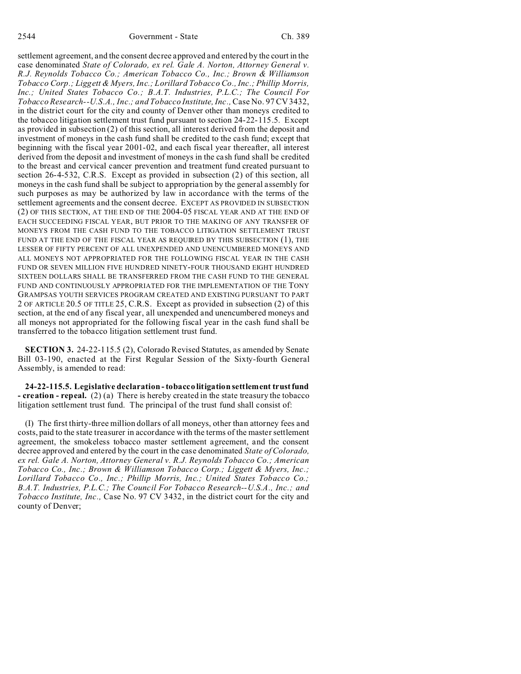settlement agreement, and the consent decree approved and entered by the court in the case denominated *State of Colorado, ex rel. Gale A. Norton, Attorney General v. R.J. Reynolds Tobacco Co.; American Tobacco Co., Inc.; Brown & Williamson Tobacco Corp.; Liggett & Myers, Inc.; Lorillard Tobacco Co., Inc.; Phillip Morris, Inc.; United States Tobacco Co.; B.A.T. Industries, P.L.C.; The Council For Tobacco Research--U.S.A., Inc.; and Tobacco Institute, Inc.,* Case No. 97 CV 3432, in the district court for the city and county of Denver other than moneys credited to the tobacco litigation settlement trust fund pursuant to section 24-22-115.5. Except as provided in subsection (2) of this section, all interest derived from the deposit and investment of moneys in the cash fund shall be credited to the cash fund; except that beginning with the fiscal year 2001-02, and each fiscal year thereafter, all interest derived from the deposit and investment of moneys in the cash fund shall be credited to the breast and cervical cancer prevention and treatment fund created pursuant to section 26-4-532, C.R.S. Except as provided in subsection (2) of this section, all moneys in the cash fund shall be subject to appropriation by the general assembly for such purposes as may be authorized by law in accordance with the terms of the settlement agreements and the consent decree. EXCEPT AS PROVIDED IN SUBSECTION (2) OF THIS SECTION, AT THE END OF THE 2004-05 FISCAL YEAR AND AT THE END OF EACH SUCCEEDING FISCAL YEAR, BUT PRIOR TO THE MAKING OF ANY TRANSFER OF MONEYS FROM THE CASH FUND TO THE TOBACCO LITIGATION SETTLEMENT TRUST FUND AT THE END OF THE FISCAL YEAR AS REQUIRED BY THIS SUBSECTION  $(1)$ , THE LESSER OF FIFTY PERCENT OF ALL UNEXPENDED AND UNENCUMBERED MONEYS AND ALL MONEYS NOT APPROPRIATED FOR THE FOLLOWING FISCAL YEAR IN THE CASH FUND OR SEVEN MILLION FIVE HUNDRED NINETY-FOUR THOUSAND EIGHT HUNDRED SIXTEEN DOLLARS SHALL BE TRANSFERRED FROM THE CASH FUND TO THE GENERAL FUND AND CONTINUOUSLY APPROPRIATED FOR THE IMPLEMENTATION OF THE TONY GRAMPSAS YOUTH SERVICES PROGRAM CREATED AND EXISTING PURSUANT TO PART 2 OF ARTICLE 20.5 OF TITLE 25, C.R.S. Except as provided in subsection (2) of this section, at the end of any fiscal year, all unexpended and unencumbered moneys and all moneys not appropriated for the following fiscal year in the cash fund shall be transferred to the tobacco litigation settlement trust fund.

**SECTION 3.** 24-22-115.5 (2), Colorado Revised Statutes, as amended by Senate Bill 03-190, enacted at the First Regular Session of the Sixty-fourth General Assembly, is amended to read:

**24-22-115.5. Legislative declaration - tobacco litigation settlement trust fund - creation - repeal.** (2) (a) There is hereby created in the state treasury the tobacco litigation settlement trust fund. The principal of the trust fund shall consist of:

(I) The first thirty-three million dollars of all moneys, other than attorney fees and costs, paid to the state treasurer in accordance with the terms of the master settlement agreement, the smokeless tobacco master settlement agreement, and the consent decree approved and entered by the court in the case denominated *State of Colorado, ex rel. Gale A. Norton, Attorney General v. R.J. Reynolds Tobacco Co.; American Tobacco Co., Inc.; Brown & Williamson Tobacco Corp.; Liggett & Myers, Inc.; Lorillard Tobacco Co., Inc.; Phillip Morris, Inc.; United States Tobacco Co.; B.A.T. Industries, P.L.C.; The Council For Tobacco Research--U.S.A., Inc.; and Tobacco Institute, Inc.,* Case No. 97 CV 3432, in the district court for the city and county of Denver;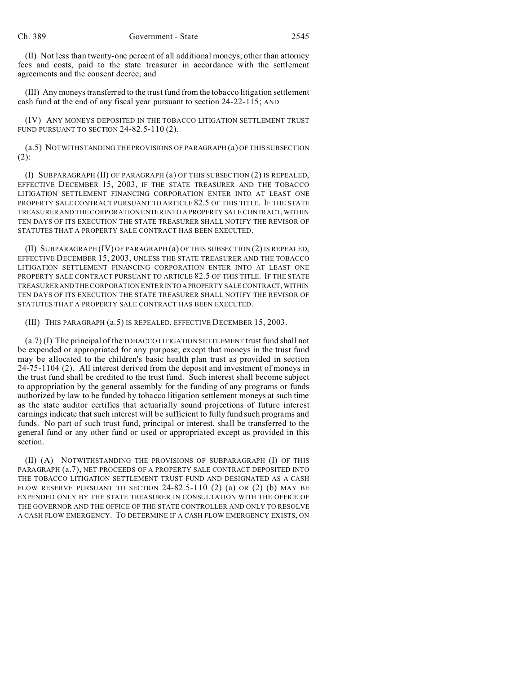(II) Not less than twenty-one percent of all additional moneys, other than attorney fees and costs, paid to the state treasurer in accordance with the settlement agreements and the consent decree; and

(III) Any moneys transferred to the trust fund from the tobacco litigation settlement cash fund at the end of any fiscal year pursuant to section 24-22-115; AND

(IV) ANY MONEYS DEPOSITED IN THE TOBACCO LITIGATION SETTLEMENT TRUST FUND PURSUANT TO SECTION 24-82.5-110 (2).

(a.5) NOTWITHSTANDING THE PROVISIONS OF PARAGRAPH (a) OF THIS SUBSECTION (2):

(I) SUBPARAGRAPH (II) OF PARAGRAPH (a) OF THIS SUBSECTION (2) IS REPEALED, EFFECTIVE DECEMBER 15, 2003, IF THE STATE TREASURER AND THE TOBACCO LITIGATION SETTLEMENT FINANCING CORPORATION ENTER INTO AT LEAST ONE PROPERTY SALE CONTRACT PURSUANT TO ARTICLE 82.5 OF THIS TITLE. IF THE STATE TREASURER AND THE CORPORATION ENTER INTO A PROPERTY SALE CONTRACT, WITHIN TEN DAYS OF ITS EXECUTION THE STATE TREASURER SHALL NOTIFY THE REVISOR OF STATUTES THAT A PROPERTY SALE CONTRACT HAS BEEN EXECUTED.

(II) SUBPARAGRAPH (IV) OF PARAGRAPH (a) OF THIS SUBSECTION (2) IS REPEALED, EFFECTIVE DECEMBER 15, 2003, UNLESS THE STATE TREASURER AND THE TOBACCO LITIGATION SETTLEMENT FINANCING CORPORATION ENTER INTO AT LEAST ONE PROPERTY SALE CONTRACT PURSUANT TO ARTICLE 82.5 OF THIS TITLE. IF THE STATE TREASURER AND THE CORPORATION ENTER INTO APROPERTY SALE CONTRACT, WITHIN TEN DAYS OF ITS EXECUTION THE STATE TREASURER SHALL NOTIFY THE REVISOR OF STATUTES THAT A PROPERTY SALE CONTRACT HAS BEEN EXECUTED.

(III) THIS PARAGRAPH (a.5) IS REPEALED, EFFECTIVE DECEMBER 15, 2003.

(a.7) (I) The principal of the TOBACCO LITIGATION SETTLEMENT trust fund shall not be expended or appropriated for any purpose; except that moneys in the trust fund may be allocated to the children's basic health plan trust as provided in section 24-75-1104 (2). All interest derived from the deposit and investment of moneys in the trust fund shall be credited to the trust fund. Such interest shall become subject to appropriation by the general assembly for the funding of any programs or funds authorized by law to be funded by tobacco litigation settlement moneys at such time as the state auditor certifies that actuarially sound projections of future interest earnings indicate that such interest will be sufficient to fully fund such programs and funds. No part of such trust fund, principal or interest, shall be transferred to the general fund or any other fund or used or appropriated except as provided in this section.

(II) (A) NOTWITHSTANDING THE PROVISIONS OF SUBPARAGRAPH (I) OF THIS PARAGRAPH (a.7), NET PROCEEDS OF A PROPERTY SALE CONTRACT DEPOSITED INTO THE TOBACCO LITIGATION SETTLEMENT TRUST FUND AND DESIGNATED AS A CASH FLOW RESERVE PURSUANT TO SECTION  $24-82.5-110$  (2) (a) OR (2) (b) MAY BE EXPENDED ONLY BY THE STATE TREASURER IN CONSULTATION WITH THE OFFICE OF THE GOVERNOR AND THE OFFICE OF THE STATE CONTROLLER AND ONLY TO RESOLVE A CASH FLOW EMERGENCY. TO DETERMINE IF A CASH FLOW EMERGENCY EXISTS, ON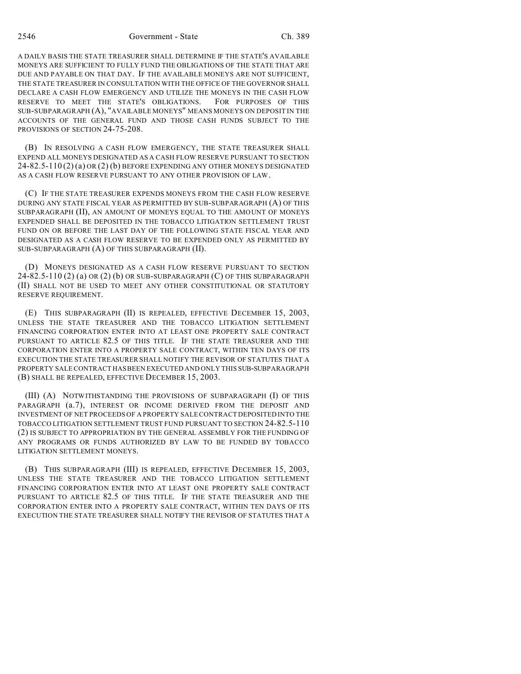2546 Government - State Ch. 389

A DAILY BASIS THE STATE TREASURER SHALL DETERMINE IF THE STATE'S AVAILABLE MONEYS ARE SUFFICIENT TO FULLY FUND THE OBLIGATIONS OF THE STATE THAT ARE DUE AND PAYABLE ON THAT DAY. IF THE AVAILABLE MONEYS ARE NOT SUFFICIENT, THE STATE TREASURER IN CONSULTATION WITH THE OFFICE OF THE GOVERNOR SHALL DECLARE A CASH FLOW EMERGENCY AND UTILIZE THE MONEYS IN THE CASH FLOW RESERVE TO MEET THE STATE'S OBLIGATIONS. FOR PURPOSES OF THIS SUB-SUBPARAGRAPH (A), "AVAILABLE MONEYS" MEANS MONEYS ON DEPOSIT IN THE ACCOUNTS OF THE GENERAL FUND AND THOSE CASH FUNDS SUBJECT TO THE PROVISIONS OF SECTION 24-75-208.

(B) IN RESOLVING A CASH FLOW EMERGENCY, THE STATE TREASURER SHALL EXPEND ALL MONEYS DESIGNATED AS A CASH FLOW RESERVE PURSUANT TO SECTION  $24-82.5-110(2)(a)$  OR  $(2)(b)$  BEFORE EXPENDING ANY OTHER MONEYS DESIGNATED AS A CASH FLOW RESERVE PURSUANT TO ANY OTHER PROVISION OF LAW.

(C) IF THE STATE TREASURER EXPENDS MONEYS FROM THE CASH FLOW RESERVE DURING ANY STATE FISCAL YEAR AS PERMITTED BY SUB-SUBPARAGRAPH (A) OF THIS SUBPARAGRAPH (II), AN AMOUNT OF MONEYS EQUAL TO THE AMOUNT OF MONEYS EXPENDED SHALL BE DEPOSITED IN THE TOBACCO LITIGATION SETTLEMENT TRUST FUND ON OR BEFORE THE LAST DAY OF THE FOLLOWING STATE FISCAL YEAR AND DESIGNATED AS A CASH FLOW RESERVE TO BE EXPENDED ONLY AS PERMITTED BY SUB-SUBPARAGRAPH (A) OF THIS SUBPARAGRAPH (II).

(D) MONEYS DESIGNATED AS A CASH FLOW RESERVE PURSUANT TO SECTION  $24-82.5-110(2)$  (a) OR  $(2)$  (b) OR SUB-SUBPARAGRAPH (C) OF THIS SUBPARAGRAPH (II) SHALL NOT BE USED TO MEET ANY OTHER CONSTITUTIONAL OR STATUTORY RESERVE REQUIREMENT.

(E) THIS SUBPARAGRAPH (II) IS REPEALED, EFFECTIVE DECEMBER 15, 2003, UNLESS THE STATE TREASURER AND THE TOBACCO LITIGATION SETTLEMENT FINANCING CORPORATION ENTER INTO AT LEAST ONE PROPERTY SALE CONTRACT PURSUANT TO ARTICLE 82.5 OF THIS TITLE. IF THE STATE TREASURER AND THE CORPORATION ENTER INTO A PROPERTY SALE CONTRACT, WITHIN TEN DAYS OF ITS EXECUTION THE STATE TREASURER SHALL NOTIFY THE REVISOR OF STATUTES THAT A PROPERTY SALE CONTRACT HAS BEEN EXECUTED AND ONLY THIS SUB-SUBPARAGRAPH (B) SHALL BE REPEALED, EFFECTIVE DECEMBER 15, 2003.

(III) (A) NOTWITHSTANDING THE PROVISIONS OF SUBPARAGRAPH (I) OF THIS PARAGRAPH (a.7), INTEREST OR INCOME DERIVED FROM THE DEPOSIT AND INVESTMENT OF NET PROCEEDS OF A PROPERTY SALE CONTRACT DEPOSITED INTO THE TOBACCO LITIGATION SETTLEMENT TRUST FUND PURSUANT TO SECTION 24-82.5-110 (2) IS SUBJECT TO APPROPRIATION BY THE GENERAL ASSEMBLY FOR THE FUNDING OF ANY PROGRAMS OR FUNDS AUTHORIZED BY LAW TO BE FUNDED BY TOBACCO LITIGATION SETTLEMENT MONEYS.

(B) THIS SUBPARAGRAPH (III) IS REPEALED, EFFECTIVE DECEMBER 15, 2003, UNLESS THE STATE TREASURER AND THE TOBACCO LITIGATION SETTLEMENT FINANCING CORPORATION ENTER INTO AT LEAST ONE PROPERTY SALE CONTRACT PURSUANT TO ARTICLE 82.5 OF THIS TITLE. IF THE STATE TREASURER AND THE CORPORATION ENTER INTO A PROPERTY SALE CONTRACT, WITHIN TEN DAYS OF ITS EXECUTION THE STATE TREASURER SHALL NOTIFY THE REVISOR OF STATUTES THAT A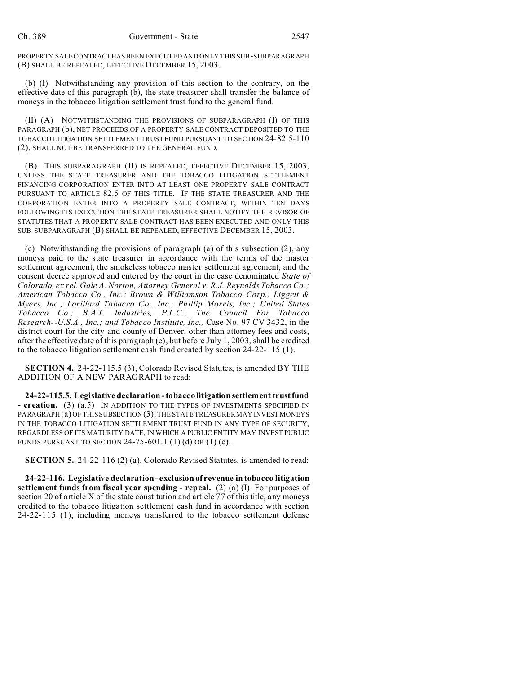PROPERTY SALE CONTRACTHAS BEEN EXECUTED AND ONLY THIS SUB-SUBPARAGRAPH (B) SHALL BE REPEALED, EFFECTIVE DECEMBER 15, 2003.

(b) (I) Notwithstanding any provision of this section to the contrary, on the effective date of this paragraph (b), the state treasurer shall transfer the balance of moneys in the tobacco litigation settlement trust fund to the general fund.

(II) (A) NOTWITHSTANDING THE PROVISIONS OF SUBPARAGRAPH (I) OF THIS PARAGRAPH (b), NET PROCEEDS OF A PROPERTY SALE CONTRACT DEPOSITED TO THE TOBACCO LITIGATION SETTLEMENT TRUST FUND PURSUANT TO SECTION 24-82.5-110 (2), SHALL NOT BE TRANSFERRED TO THE GENERAL FUND.

(B) THIS SUBPARAGRAPH (II) IS REPEALED, EFFECTIVE DECEMBER 15, 2003, UNLESS THE STATE TREASURER AND THE TOBACCO LITIGATION SETTLEMENT FINANCING CORPORATION ENTER INTO AT LEAST ONE PROPERTY SALE CONTRACT PURSUANT TO ARTICLE 82.5 OF THIS TITLE. IF THE STATE TREASURER AND THE CORPORATION ENTER INTO A PROPERTY SALE CONTRACT, WITHIN TEN DAYS FOLLOWING ITS EXECUTION THE STATE TREASURER SHALL NOTIFY THE REVISOR OF STATUTES THAT A PROPERTY SALE CONTRACT HAS BEEN EXECUTED AND ONLY THIS SUB-SUBPARAGRAPH (B) SHALL BE REPEALED, EFFECTIVE DECEMBER 15, 2003.

(c) Notwithstanding the provisions of paragraph (a) of this subsection (2), any moneys paid to the state treasurer in accordance with the terms of the master settlement agreement, the smokeless tobacco master settlement agreement, and the consent decree approved and entered by the court in the case denominated *State of Colorado, ex rel. Gale A. Norton, Attorney General v. R.J. Reynolds Tobacco Co.; American Tobacco Co., Inc.; Brown & Williamson Tobacco Corp.; Liggett & Myers, Inc.; Lorillard Tobacco Co., Inc.; Phillip Morris, Inc.; United States Tobacco Co.; B.A.T. Industries, P.L.C.; The Council For Tobacco Research--U.S.A., Inc.; and Tobacco Institute, Inc.,* Case No. 97 CV 3432, in the district court for the city and county of Denver, other than attorney fees and costs, after the effective date of this paragraph (c), but before July 1, 2003, shall be credited to the tobacco litigation settlement cash fund created by section 24-22-115 (1).

**SECTION 4.** 24-22-115.5 (3), Colorado Revised Statutes, is amended BY THE ADDITION OF A NEW PARAGRAPH to read:

**24-22-115.5. Legislative declaration - tobacco litigation settlement trust fund - creation.** (3) (a.5) IN ADDITION TO THE TYPES OF INVESTMENTS SPECIFIED IN PARAGRAPH (a) OF THIS SUBSECTION (3), THE STATE TREASURER MAY INVEST MONEYS IN THE TOBACCO LITIGATION SETTLEMENT TRUST FUND IN ANY TYPE OF SECURITY, REGARDLESS OF ITS MATURITY DATE, IN WHICH A PUBLIC ENTITY MAY INVEST PUBLIC FUNDS PURSUANT TO SECTION 24-75-601.1 (1) (d) OR (1) (e).

**SECTION 5.** 24-22-116 (2) (a), Colorado Revised Statutes, is amended to read:

**24-22-116. Legislative declaration - exclusion of revenue in tobacco litigation settlement funds from fiscal year spending - repeal.** (2) (a) (I) For purposes of section 20 of article X of the state constitution and article 77 of this title, any moneys credited to the tobacco litigation settlement cash fund in accordance with section 24-22-115 (1), including moneys transferred to the tobacco settlement defense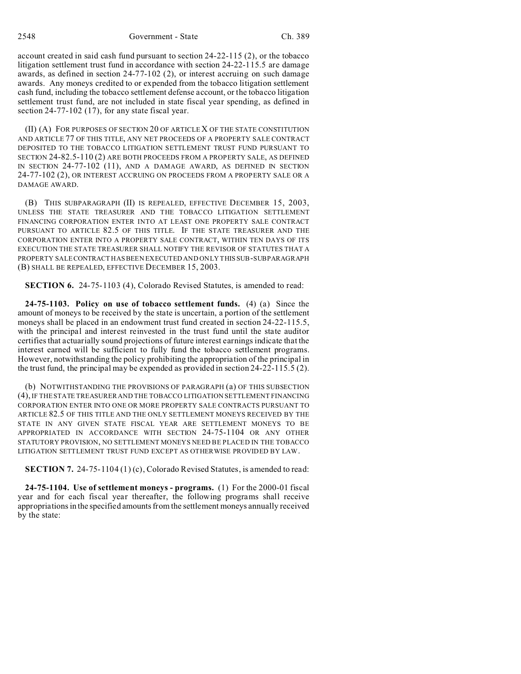2548 Government - State Ch. 389

account created in said cash fund pursuant to section 24-22-115 (2), or the tobacco litigation settlement trust fund in accordance with section 24-22-115.5 are damage awards, as defined in section 24-77-102 (2), or interest accruing on such damage awards. Any moneys credited to or expended from the tobacco litigation settlement cash fund, including the tobacco settlement defense account, or the tobacco litigation settlement trust fund, are not included in state fiscal year spending, as defined in section 24-77-102 (17), for any state fiscal year.

(II) (A) FOR PURPOSES OF SECTION 20 OF ARTICLE X OF THE STATE CONSTITUTION AND ARTICLE 77 OF THIS TITLE, ANY NET PROCEEDS OF A PROPERTY SALE CONTRACT DEPOSITED TO THE TOBACCO LITIGATION SETTLEMENT TRUST FUND PURSUANT TO SECTION 24-82.5-110 (2) ARE BOTH PROCEEDS FROM A PROPERTY SALE, AS DEFINED IN SECTION 24-77-102 (11), AND A DAMAGE AWARD, AS DEFINED IN SECTION 24-77-102 (2), OR INTEREST ACCRUING ON PROCEEDS FROM A PROPERTY SALE OR A DAMAGE AWARD.

(B) THIS SUBPARAGRAPH (II) IS REPEALED, EFFECTIVE DECEMBER 15, 2003, UNLESS THE STATE TREASURER AND THE TOBACCO LITIGATION SETTLEMENT FINANCING CORPORATION ENTER INTO AT LEAST ONE PROPERTY SALE CONTRACT PURSUANT TO ARTICLE 82.5 OF THIS TITLE. IF THE STATE TREASURER AND THE CORPORATION ENTER INTO A PROPERTY SALE CONTRACT, WITHIN TEN DAYS OF ITS EXECUTION THE STATE TREASURER SHALL NOTIFY THE REVISOR OF STATUTES THAT A PROPERTY SALE CONTRACT HAS BEEN EXECUTED AND ONLY THIS SUB-SUBPARAGRAPH (B) SHALL BE REPEALED, EFFECTIVE DECEMBER 15, 2003.

**SECTION 6.** 24-75-1103 (4), Colorado Revised Statutes, is amended to read:

**24-75-1103. Policy on use of tobacco settlement funds.** (4) (a) Since the amount of moneys to be received by the state is uncertain, a portion of the settlement moneys shall be placed in an endowment trust fund created in section 24-22-115.5, with the principal and interest reinvested in the trust fund until the state auditor certifies that actuarially sound projections of future interest earnings indicate that the interest earned will be sufficient to fully fund the tobacco settlement programs. However, notwithstanding the policy prohibiting the appropriation of the principal in the trust fund, the principal may be expended as provided in section 24-22-115.5 (2).

(b) NOTWITHSTANDING THE PROVISIONS OF PARAGRAPH (a) OF THIS SUBSECTION (4), IF THE STATE TREASURER AND THE TOBACCO LITIGATION SETTLEMENT FINANCING CORPORATION ENTER INTO ONE OR MORE PROPERTY SALE CONTRACTS PURSUANT TO ARTICLE 82.5 OF THIS TITLE AND THE ONLY SETTLEMENT MONEYS RECEIVED BY THE STATE IN ANY GIVEN STATE FISCAL YEAR ARE SETTLEMENT MONEYS TO BE APPROPRIATED IN ACCORDANCE WITH SECTION 24-75-1104 OR ANY OTHER STATUTORY PROVISION, NO SETTLEMENT MONEYS NEED BE PLACED IN THE TOBACCO LITIGATION SETTLEMENT TRUST FUND EXCEPT AS OTHERWISE PROVIDED BY LAW.

**SECTION 7.** 24-75-1104 (1) (c), Colorado Revised Statutes, is amended to read:

**24-75-1104. Use of settlement moneys - programs.** (1) For the 2000-01 fiscal year and for each fiscal year thereafter, the following programs shall receive appropriations in the specified amounts from the settlement moneys annually received by the state: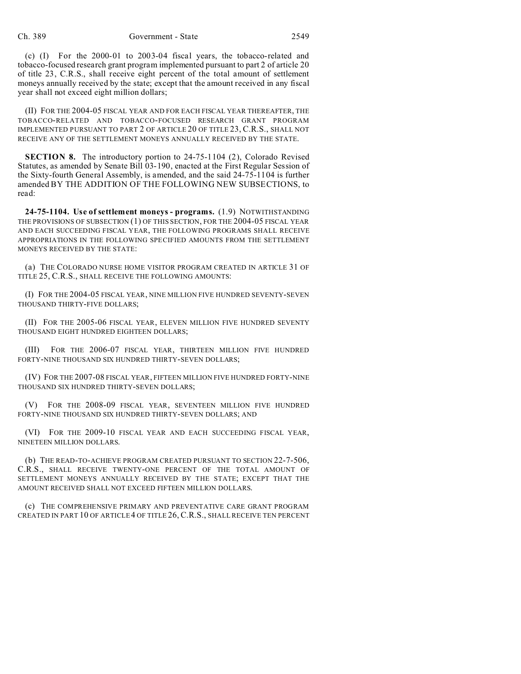(c) (I) For the 2000-01 to 2003-04 fiscal years, the tobacco-related and tobacco-focused research grant program implemented pursuant to part 2 of article 20 of title 23, C.R.S., shall receive eight percent of the total amount of settlement moneys annually received by the state; except that the amount received in any fiscal year shall not exceed eight million dollars;

(II) FOR THE 2004-05 FISCAL YEAR AND FOR EACH FISCAL YEAR THEREAFTER, THE TOBACCO-RELATED AND TOBACCO-FOCUSED RESEARCH GRANT PROGRAM IMPLEMENTED PURSUANT TO PART 2 OF ARTICLE 20 OF TITLE 23, C.R.S., SHALL NOT RECEIVE ANY OF THE SETTLEMENT MONEYS ANNUALLY RECEIVED BY THE STATE.

**SECTION 8.** The introductory portion to 24-75-1104 (2), Colorado Revised Statutes, as amended by Senate Bill 03-190, enacted at the First Regular Session of the Sixty-fourth General Assembly, is amended, and the said 24-75-1104 is further amended BY THE ADDITION OF THE FOLLOWING NEW SUBSECTIONS, to read:

**24-75-1104. Use of settlement moneys - programs.** (1.9) NOTWITHSTANDING THE PROVISIONS OF SUBSECTION (1) OF THIS SECTION, FOR THE 2004-05 FISCAL YEAR AND EACH SUCCEEDING FISCAL YEAR, THE FOLLOWING PROGRAMS SHALL RECEIVE APPROPRIATIONS IN THE FOLLOWING SPECIFIED AMOUNTS FROM THE SETTLEMENT MONEYS RECEIVED BY THE STATE:

(a) THE COLORADO NURSE HOME VISITOR PROGRAM CREATED IN ARTICLE 31 OF TITLE 25, C.R.S., SHALL RECEIVE THE FOLLOWING AMOUNTS:

(I) FOR THE 2004-05 FISCAL YEAR, NINE MILLION FIVE HUNDRED SEVENTY-SEVEN THOUSAND THIRTY-FIVE DOLLARS;

(II) FOR THE 2005-06 FISCAL YEAR, ELEVEN MILLION FIVE HUNDRED SEVENTY THOUSAND EIGHT HUNDRED EIGHTEEN DOLLARS;

(III) FOR THE 2006-07 FISCAL YEAR, THIRTEEN MILLION FIVE HUNDRED FORTY-NINE THOUSAND SIX HUNDRED THIRTY-SEVEN DOLLARS;

(IV) FOR THE 2007-08 FISCAL YEAR, FIFTEEN MILLION FIVE HUNDRED FORTY-NINE THOUSAND SIX HUNDRED THIRTY-SEVEN DOLLARS;

(V) FOR THE 2008-09 FISCAL YEAR, SEVENTEEN MILLION FIVE HUNDRED FORTY-NINE THOUSAND SIX HUNDRED THIRTY-SEVEN DOLLARS; AND

(VI) FOR THE 2009-10 FISCAL YEAR AND EACH SUCCEEDING FISCAL YEAR, NINETEEN MILLION DOLLARS.

(b) THE READ-TO-ACHIEVE PROGRAM CREATED PURSUANT TO SECTION 22-7-506, C.R.S., SHALL RECEIVE TWENTY-ONE PERCENT OF THE TOTAL AMOUNT OF SETTLEMENT MONEYS ANNUALLY RECEIVED BY THE STATE; EXCEPT THAT THE AMOUNT RECEIVED SHALL NOT EXCEED FIFTEEN MILLION DOLLARS.

(c) THE COMPREHENSIVE PRIMARY AND PREVENTATIVE CARE GRANT PROGRAM CREATED IN PART 10 OF ARTICLE4 OF TITLE 26, C.R.S., SHALL RECEIVE TEN PERCENT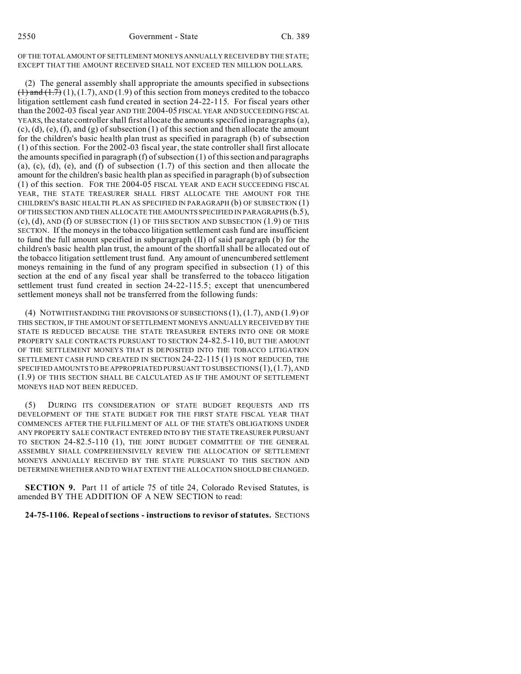### OF THE TOTAL AMOUNT OF SETTLEMENT MONEYS ANNUALLY RECEIVED BY THE STATE; EXCEPT THAT THE AMOUNT RECEIVED SHALL NOT EXCEED TEN MILLION DOLLARS.

(2) The general assembly shall appropriate the amounts specified in subsections  $(1)$  and  $(1.7)$ ,  $(1.7)$ , AND  $(1.9)$  of this section from moneys credited to the tobacco litigation settlement cash fund created in section 24-22-115. For fiscal years other than the 2002-03 fiscal year AND THE 2004-05 FISCAL YEAR AND SUCCEEDING FISCAL YEARS, the state controller shall first allocate the amounts specified in paragraphs (a),  $(c)$ ,  $(d)$ ,  $(e)$ ,  $(f)$ , and  $(g)$  of subsection  $(1)$  of this section and then allocate the amount for the children's basic health plan trust as specified in paragraph (b) of subsection (1) of this section. For the 2002-03 fiscal year, the state controller shall first allocate the amounts specified in paragraph  $(f)$  of subsection  $(1)$  of this section and paragraphs (a), (c), (d), (e), and (f) of subsection  $(1.7)$  of this section and then allocate the amount for the children's basic health plan as specified in paragraph (b) of subsection (1) of this section. FOR THE 2004-05 FISCAL YEAR AND EACH SUCCEEDING FISCAL YEAR, THE STATE TREASURER SHALL FIRST ALLOCATE THE AMOUNT FOR THE CHILDREN'S BASIC HEALTH PLAN AS SPECIFIED IN PARAGRAPH (b) OF SUBSECTION (1) OF THIS SECTION AND THEN ALLOCATE THE AMOUNTS SPECIFIED IN PARAGRAPHS (b.5),  $(c)$ ,  $(d)$ , AND  $(f)$  OF SUBSECTION  $(1)$  OF THIS SECTION AND SUBSECTION  $(1.9)$  OF THIS SECTION. If the moneys in the tobacco litigation settlement cash fund are insufficient to fund the full amount specified in subparagraph (II) of said paragraph (b) for the children's basic health plan trust, the amount of the shortfall shall be allocated out of the tobacco litigation settlement trust fund. Any amount of unencumbered settlement moneys remaining in the fund of any program specified in subsection (1) of this section at the end of any fiscal year shall be transferred to the tobacco litigation settlement trust fund created in section 24-22-115.5; except that unencumbered settlement moneys shall not be transferred from the following funds:

(4) NOTWITHSTANDING THE PROVISIONS OF SUBSECTIONS  $(1)$ ,  $(1.7)$ , AND  $(1.9)$  OF THIS SECTION, IF THE AMOUNT OF SETTLEMENT MONEYS ANNUALLY RECEIVED BY THE STATE IS REDUCED BECAUSE THE STATE TREASURER ENTERS INTO ONE OR MORE PROPERTY SALE CONTRACTS PURSUANT TO SECTION 24-82.5-110, BUT THE AMOUNT OF THE SETTLEMENT MONEYS THAT IS DEPOSITED INTO THE TOBACCO LITIGATION SETTLEMENT CASH FUND CREATED IN SECTION 24-22-115 (1) IS NOT REDUCED, THE SPECIFIED AMOUNTS TO BE APPROPRIATED PURSUANT TO SUBSECTIONS  $(1)$ ,  $(1.7)$ , AND (1.9) OF THIS SECTION SHALL BE CALCULATED AS IF THE AMOUNT OF SETTLEMENT MONEYS HAD NOT BEEN REDUCED.

(5) DURING ITS CONSIDERATION OF STATE BUDGET REQUESTS AND ITS DEVELOPMENT OF THE STATE BUDGET FOR THE FIRST STATE FISCAL YEAR THAT COMMENCES AFTER THE FULFILLMENT OF ALL OF THE STATE'S OBLIGATIONS UNDER ANY PROPERTY SALE CONTRACT ENTERED INTO BY THE STATE TREASURER PURSUANT TO SECTION 24-82.5-110 (1), THE JOINT BUDGET COMMITTEE OF THE GENERAL ASSEMBLY SHALL COMPREHENSIVELY REVIEW THE ALLOCATION OF SETTLEMENT MONEYS ANNUALLY RECEIVED BY THE STATE PURSUANT TO THIS SECTION AND DETERMINE WHETHER AND TO WHAT EXTENT THE ALLOCATION SHOULD BE CHANGED.

**SECTION 9.** Part 11 of article 75 of title 24, Colorado Revised Statutes, is amended BY THE ADDITION OF A NEW SECTION to read:

## **24-75-1106. Repeal of sections - instructions to revisor of statutes.** SECTIONS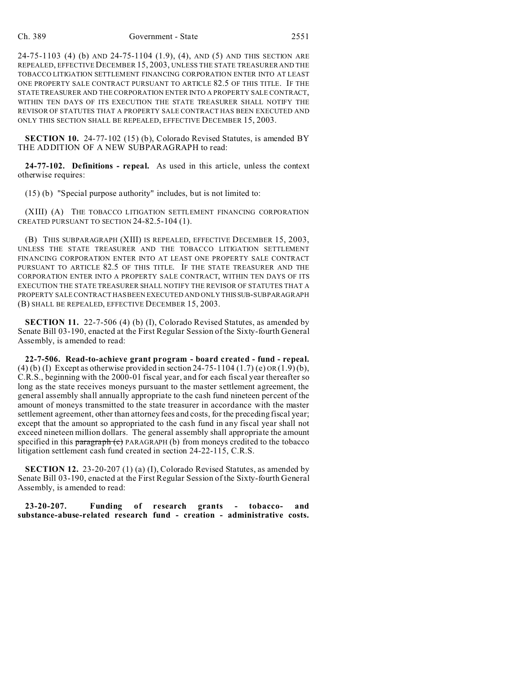24-75-1103 (4) (b) AND 24-75-1104 (1.9), (4), AND (5) AND THIS SECTION ARE REPEALED, EFFECTIVE DECEMBER 15, 2003, UNLESS THE STATE TREASURER AND THE TOBACCO LITIGATION SETTLEMENT FINANCING CORPORATION ENTER INTO AT LEAST ONE PROPERTY SALE CONTRACT PURSUANT TO ARTICLE 82.5 OF THIS TITLE. IF THE STATE TREASURER AND THE CORPORATION ENTER INTO A PROPERTY SALE CONTRACT, WITHIN TEN DAYS OF ITS EXECUTION THE STATE TREASURER SHALL NOTIFY THE REVISOR OF STATUTES THAT A PROPERTY SALE CONTRACT HAS BEEN EXECUTED AND ONLY THIS SECTION SHALL BE REPEALED, EFFECTIVE DECEMBER 15, 2003.

**SECTION 10.** 24-77-102 (15) (b), Colorado Revised Statutes, is amended BY THE ADDITION OF A NEW SUBPARAGRAPH to read:

**24-77-102. Definitions - repeal.** As used in this article, unless the context otherwise requires:

(15) (b) "Special purpose authority" includes, but is not limited to:

(XIII) (A) THE TOBACCO LITIGATION SETTLEMENT FINANCING CORPORATION CREATED PURSUANT TO SECTION 24-82.5-104 (1).

(B) THIS SUBPARAGRAPH (XIII) IS REPEALED, EFFECTIVE DECEMBER 15, 2003, UNLESS THE STATE TREASURER AND THE TOBACCO LITIGATION SETTLEMENT FINANCING CORPORATION ENTER INTO AT LEAST ONE PROPERTY SALE CONTRACT PURSUANT TO ARTICLE 82.5 OF THIS TITLE. IF THE STATE TREASURER AND THE CORPORATION ENTER INTO A PROPERTY SALE CONTRACT, WITHIN TEN DAYS OF ITS EXECUTION THE STATE TREASURER SHALL NOTIFY THE REVISOR OF STATUTES THAT A PROPERTY SALE CONTRACT HAS BEEN EXECUTED AND ONLY THISSUB-SUBPARAGRAPH (B) SHALL BE REPEALED, EFFECTIVE DECEMBER 15, 2003.

**SECTION 11.** 22-7-506 (4) (b) (I), Colorado Revised Statutes, as amended by Senate Bill 03-190, enacted at the First Regular Session of the Sixty-fourth General Assembly, is amended to read:

**22-7-506. Read-to-achieve grant program - board created - fund - repeal.** (4) (b) (I) Except as otherwise provided in section 24-75-1104 (1.7) (e)  $OR(1.9)$  (b), C.R.S., beginning with the 2000-01 fiscal year, and for each fiscal year thereafter so long as the state receives moneys pursuant to the master settlement agreement, the general assembly shall annually appropriate to the cash fund nineteen percent of the amount of moneys transmitted to the state treasurer in accordance with the master settlement agreement, other than attorney fees and costs, for the preceding fiscal year; except that the amount so appropriated to the cash fund in any fiscal year shall not exceed nineteen million dollars. The general assembly shall appropriate the amount specified in this paragraph (c) PARAGRAPH (b) from moneys credited to the tobacco litigation settlement cash fund created in section 24-22-115, C.R.S.

**SECTION 12.** 23-20-207 (1) (a) (I), Colorado Revised Statutes, as amended by Senate Bill 03-190, enacted at the First Regular Session of the Sixty-fourth General Assembly, is amended to read:

**23-20-207. Funding of research grants - tobacco- and substance-abuse-related research fund - creation - administrative costs.**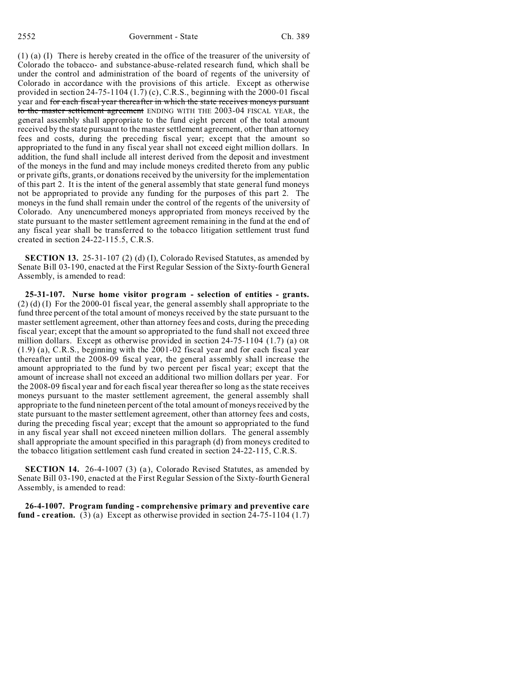(1) (a) (I) There is hereby created in the office of the treasurer of the university of Colorado the tobacco- and substance-abuse-related research fund, which shall be under the control and administration of the board of regents of the university of Colorado in accordance with the provisions of this article. Except as otherwise provided in section 24-75-1104 (1.7) (c), C.R.S., beginning with the 2000-01 fiscal year and for each fiscal year thereafter in which the state receives moneys pursuant to the master settlement agreement ENDING WITH THE 2003-04 FISCAL YEAR, the general assembly shall appropriate to the fund eight percent of the total amount received by the state pursuant to the master settlement agreement, other than attorney fees and costs, during the preceding fiscal year; except that the amount so appropriated to the fund in any fiscal year shall not exceed eight million dollars. In addition, the fund shall include all interest derived from the deposit and investment of the moneys in the fund and may include moneys credited thereto from any public or private gifts, grants, or donations received by the university for the implementation of this part 2. It is the intent of the general assembly that state general fund moneys not be appropriated to provide any funding for the purposes of this part 2. The moneys in the fund shall remain under the control of the regents of the university of Colorado. Any unencumbered moneys appropriated from moneys received by the state pursuant to the master settlement agreement remaining in the fund at the end of any fiscal year shall be transferred to the tobacco litigation settlement trust fund created in section 24-22-115.5, C.R.S.

**SECTION 13.** 25-31-107 (2) (d) (I), Colorado Revised Statutes, as amended by Senate Bill 03-190, enacted at the First Regular Session of the Sixty-fourth General Assembly, is amended to read:

**25-31-107. Nurse home visitor program - selection of entities - grants.** (2) (d) (I) For the 2000-01 fiscal year, the general assembly shall appropriate to the fund three percent of the total amount of moneys received by the state pursuant to the master settlement agreement, other than attorney fees and costs, during the preceding fiscal year; except that the amount so appropriated to the fund shall not exceed three million dollars. Except as otherwise provided in section 24-75-1104 (1.7) (a) OR (1.9) (a), C.R.S., beginning with the 2001-02 fiscal year and for each fiscal year thereafter until the 2008-09 fiscal year, the general assembly shall increase the amount appropriated to the fund by two percent per fiscal year; except that the amount of increase shall not exceed an additional two million dollars per year. For the 2008-09 fiscal year and for each fiscal year thereafter so long as the state receives moneys pursuant to the master settlement agreement, the general assembly shall appropriate to the fund nineteen percent of the total amount of moneys received by the state pursuant to the master settlement agreement, other than attorney fees and costs, during the preceding fiscal year; except that the amount so appropriated to the fund in any fiscal year shall not exceed nineteen million dollars. The general assembly shall appropriate the amount specified in this paragraph (d) from moneys credited to the tobacco litigation settlement cash fund created in section 24-22-115, C.R.S.

**SECTION 14.** 26-4-1007 (3) (a), Colorado Revised Statutes, as amended by Senate Bill 03-190, enacted at the First Regular Session of the Sixty-fourth General Assembly, is amended to read:

**26-4-1007. Program funding - comprehensive primary and preventive care fund - creation.** (3) (a) Except as otherwise provided in section 24-75-1104 (1.7)